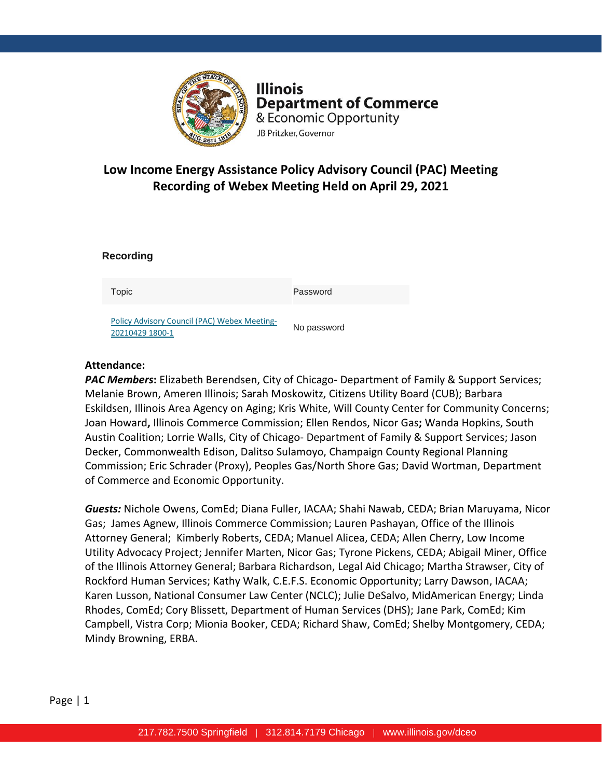

**Illinois Department of Commerce** & Economic Opportunity JB Pritzker, Governor

# **Low Income Energy Assistance Policy Advisory Council (PAC) Meeting Recording of Webex Meeting Held on April 29, 2021**

| Topic                                                           | Password    |
|-----------------------------------------------------------------|-------------|
| Policy Advisory Council (PAC) Webex Meeting-<br>20210429 1800-1 | No password |

# **Attendance:**

**Recording** 

*PAC Members***:** Elizabeth Berendsen, City of Chicago- Department of Family & Support Services; Melanie Brown, Ameren Illinois; Sarah Moskowitz, Citizens Utility Board (CUB); Barbara Eskildsen, Illinois Area Agency on Aging; Kris White, Will County Center for Community Concerns; Joan Howard**,** Illinois Commerce Commission; Ellen Rendos, Nicor Gas**;** Wanda Hopkins, South Austin Coalition; Lorrie Walls, City of Chicago- Department of Family & Support Services; Jason Decker, Commonwealth Edison, Dalitso Sulamoyo, Champaign County Regional Planning Commission; Eric Schrader (Proxy), Peoples Gas/North Shore Gas; David Wortman, Department of Commerce and Economic Opportunity.

*Guests:* Nichole Owens, ComEd; Diana Fuller, IACAA; Shahi Nawab, CEDA; Brian Maruyama, Nicor Gas; James Agnew, Illinois Commerce Commission; Lauren Pashayan, Office of the Illinois Attorney General; Kimberly Roberts, CEDA; Manuel Alicea, CEDA; Allen Cherry, Low Income Utility Advocacy Project; Jennifer Marten, Nicor Gas; Tyrone Pickens, CEDA; Abigail Miner, Office of the Illinois Attorney General; Barbara Richardson, Legal Aid Chicago; Martha Strawser, City of Rockford Human Services; Kathy Walk, C.E.F.S. Economic Opportunity; Larry Dawson, IACAA; Karen Lusson, National Consumer Law Center (NCLC); Julie DeSalvo, MidAmerican Energy; Linda Rhodes, ComEd; Cory Blissett, Department of Human Services (DHS); Jane Park, ComEd; Kim Campbell, Vistra Corp; Mionia Booker, CEDA; Richard Shaw, ComEd; Shelby Montgomery, CEDA; Mindy Browning, ERBA.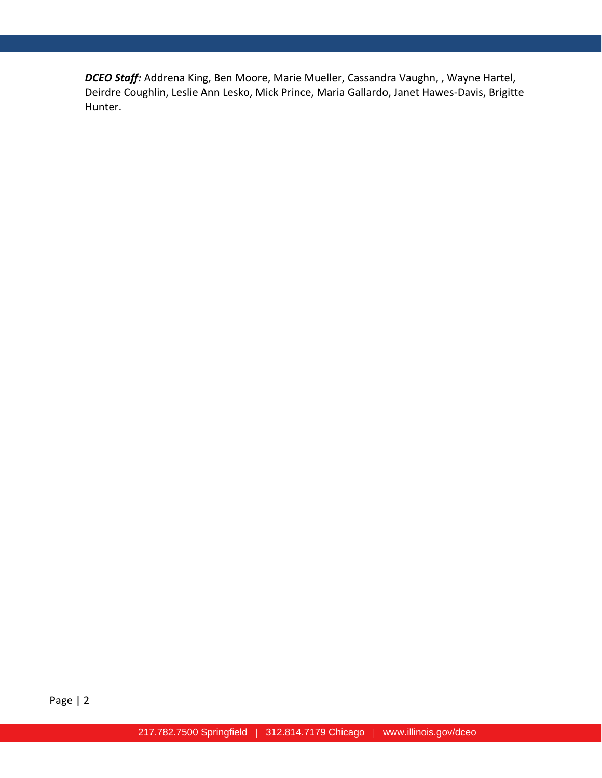*DCEO Staff:* Addrena King, Ben Moore, Marie Mueller, Cassandra Vaughn, , Wayne Hartel, Deirdre Coughlin, Leslie Ann Lesko, Mick Prince, Maria Gallardo, Janet Hawes-Davis, Brigitte Hunter.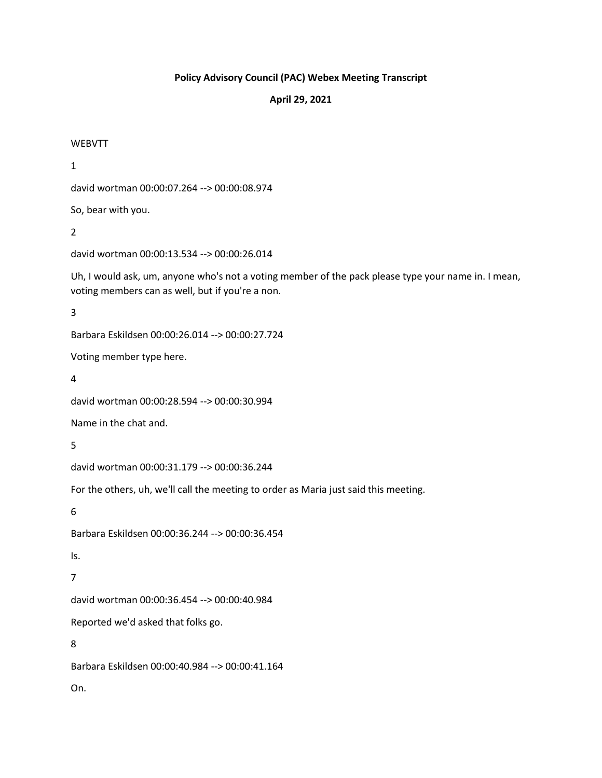# **Policy Advisory Council (PAC) Webex Meeting Transcript**

# **April 29, 2021**

#### WEBVTT

1

david wortman 00:00:07.264 --> 00:00:08.974

So, bear with you.

2

david wortman 00:00:13.534 --> 00:00:26.014

Uh, I would ask, um, anyone who's not a voting member of the pack please type your name in. I mean, voting members can as well, but if you're a non.

3

Barbara Eskildsen 00:00:26.014 --> 00:00:27.724

Voting member type here.

4

david wortman 00:00:28.594 --> 00:00:30.994

Name in the chat and.

5

david wortman 00:00:31.179 --> 00:00:36.244

For the others, uh, we'll call the meeting to order as Maria just said this meeting.

6

Barbara Eskildsen 00:00:36.244 --> 00:00:36.454

Is.

7

david wortman 00:00:36.454 --> 00:00:40.984

Reported we'd asked that folks go.

8

Barbara Eskildsen 00:00:40.984 --> 00:00:41.164

On.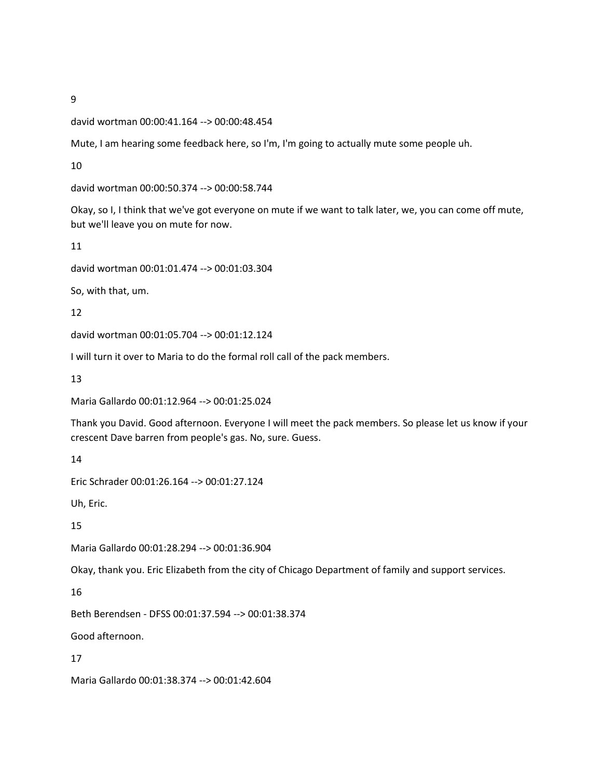#### david wortman 00:00:41.164 --> 00:00:48.454

Mute, I am hearing some feedback here, so I'm, I'm going to actually mute some people uh.

10

david wortman 00:00:50.374 --> 00:00:58.744

Okay, so I, I think that we've got everyone on mute if we want to talk later, we, you can come off mute, but we'll leave you on mute for now.

11

david wortman 00:01:01.474 --> 00:01:03.304

So, with that, um.

12

david wortman 00:01:05.704 --> 00:01:12.124

I will turn it over to Maria to do the formal roll call of the pack members.

13

Maria Gallardo 00:01:12.964 --> 00:01:25.024

Thank you David. Good afternoon. Everyone I will meet the pack members. So please let us know if your crescent Dave barren from people's gas. No, sure. Guess.

14

Eric Schrader 00:01:26.164 --> 00:01:27.124

Uh, Eric.

15

Maria Gallardo 00:01:28.294 --> 00:01:36.904

Okay, thank you. Eric Elizabeth from the city of Chicago Department of family and support services.

16

Beth Berendsen - DFSS 00:01:37.594 --> 00:01:38.374

Good afternoon.

17

Maria Gallardo 00:01:38.374 --> 00:01:42.604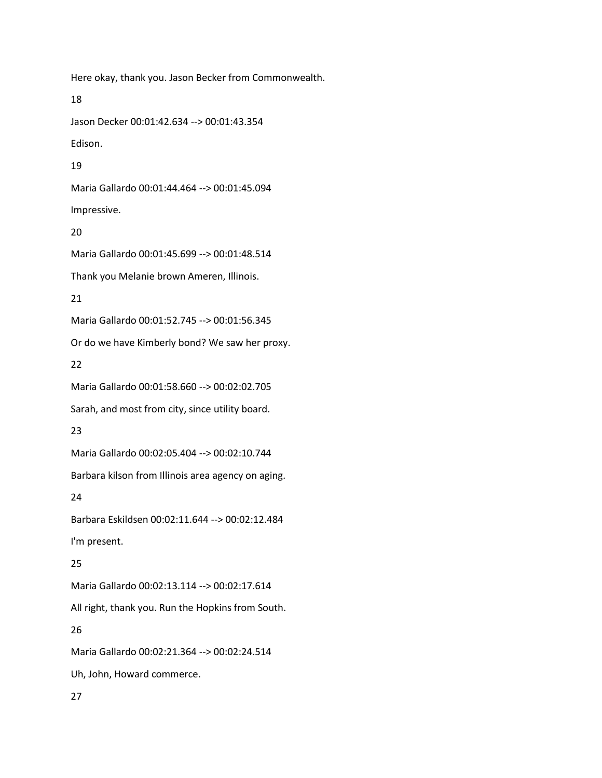Here okay, thank you. Jason Becker from Commonwealth. 18 Jason Decker 00:01:42.634 --> 00:01:43.354 Edison. 19 Maria Gallardo 00:01:44.464 --> 00:01:45.094 Impressive. 20 Maria Gallardo 00:01:45.699 --> 00:01:48.514 Thank you Melanie brown Ameren, Illinois. 21 Maria Gallardo 00:01:52.745 --> 00:01:56.345 Or do we have Kimberly bond? We saw her proxy. 22 Maria Gallardo 00:01:58.660 --> 00:02:02.705 Sarah, and most from city, since utility board. 23 Maria Gallardo 00:02:05.404 --> 00:02:10.744 Barbara kilson from Illinois area agency on aging. 24 Barbara Eskildsen 00:02:11.644 --> 00:02:12.484 I'm present. 25 Maria Gallardo 00:02:13.114 --> 00:02:17.614 All right, thank you. Run the Hopkins from South. 26 Maria Gallardo 00:02:21.364 --> 00:02:24.514 Uh, John, Howard commerce.

27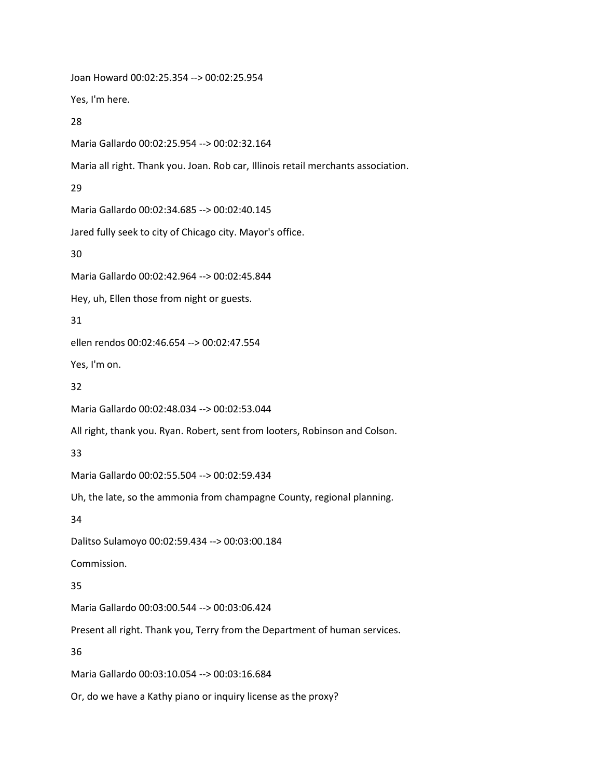Joan Howard 00:02:25.354 --> 00:02:25.954 Yes, I'm here. 28 Maria Gallardo 00:02:25.954 --> 00:02:32.164 Maria all right. Thank you. Joan. Rob car, Illinois retail merchants association. 29 Maria Gallardo 00:02:34.685 --> 00:02:40.145 Jared fully seek to city of Chicago city. Mayor's office. 30 Maria Gallardo 00:02:42.964 --> 00:02:45.844 Hey, uh, Ellen those from night or guests. 31 ellen rendos 00:02:46.654 --> 00:02:47.554 Yes, I'm on. 32 Maria Gallardo 00:02:48.034 --> 00:02:53.044 All right, thank you. Ryan. Robert, sent from looters, Robinson and Colson. 33 Maria Gallardo 00:02:55.504 --> 00:02:59.434 Uh, the late, so the ammonia from champagne County, regional planning. 34 Dalitso Sulamoyo 00:02:59.434 --> 00:03:00.184 Commission. 35 Maria Gallardo 00:03:00.544 --> 00:03:06.424 Present all right. Thank you, Terry from the Department of human services. 36 Maria Gallardo 00:03:10.054 --> 00:03:16.684 Or, do we have a Kathy piano or inquiry license as the proxy?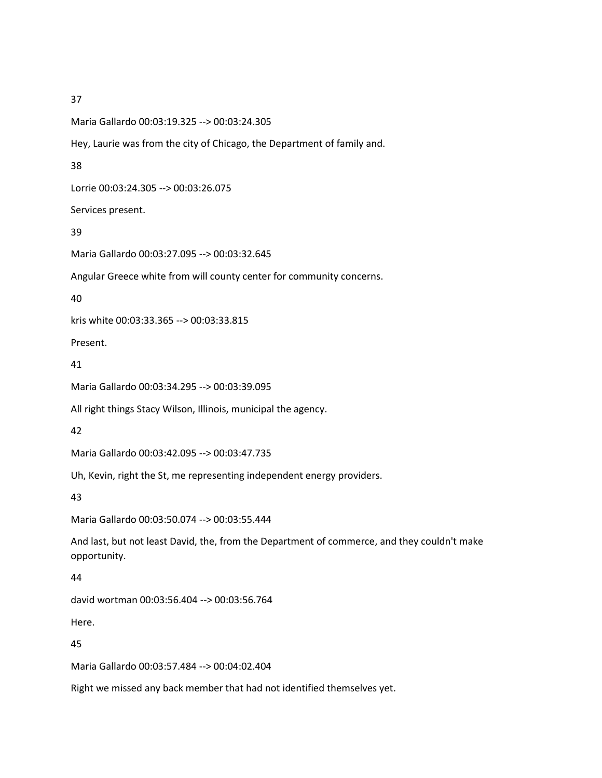38

39

40

41

42

43

44

45

Maria Gallardo 00:03:19.325 --> 00:03:24.305 Hey, Laurie was from the city of Chicago, the Department of family and. Lorrie 00:03:24.305 --> 00:03:26.075 Services present. Maria Gallardo 00:03:27.095 --> 00:03:32.645 Angular Greece white from will county center for community concerns. kris white 00:03:33.365 --> 00:03:33.815 Present. Maria Gallardo 00:03:34.295 --> 00:03:39.095 All right things Stacy Wilson, Illinois, municipal the agency. Maria Gallardo 00:03:42.095 --> 00:03:47.735 Uh, Kevin, right the St, me representing independent energy providers. Maria Gallardo 00:03:50.074 --> 00:03:55.444 And last, but not least David, the, from the Department of commerce, and they couldn't make opportunity. david wortman 00:03:56.404 --> 00:03:56.764 Here. Maria Gallardo 00:03:57.484 --> 00:04:02.404 Right we missed any back member that had not identified themselves yet.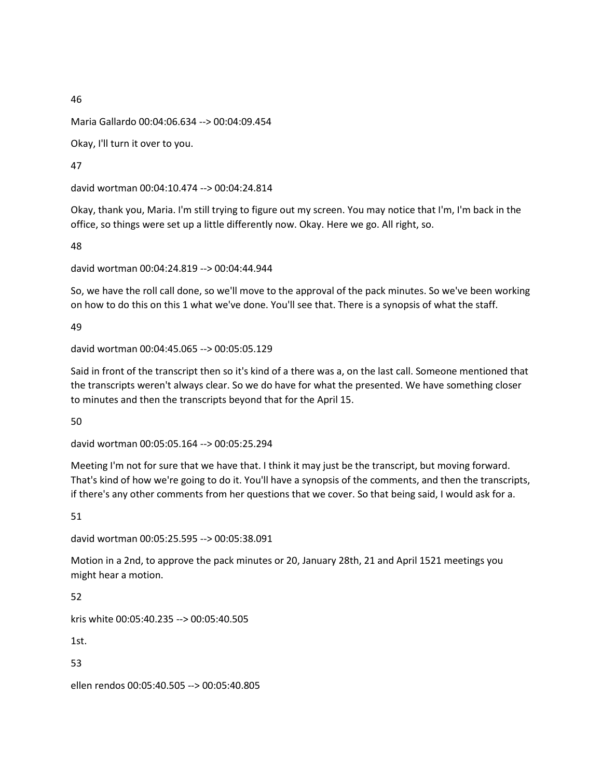Maria Gallardo 00:04:06.634 --> 00:04:09.454

Okay, I'll turn it over to you.

47

david wortman 00:04:10.474 --> 00:04:24.814

Okay, thank you, Maria. I'm still trying to figure out my screen. You may notice that I'm, I'm back in the office, so things were set up a little differently now. Okay. Here we go. All right, so.

48

david wortman 00:04:24.819 --> 00:04:44.944

So, we have the roll call done, so we'll move to the approval of the pack minutes. So we've been working on how to do this on this 1 what we've done. You'll see that. There is a synopsis of what the staff.

49

david wortman 00:04:45.065 --> 00:05:05.129

Said in front of the transcript then so it's kind of a there was a, on the last call. Someone mentioned that the transcripts weren't always clear. So we do have for what the presented. We have something closer to minutes and then the transcripts beyond that for the April 15.

50

david wortman 00:05:05.164 --> 00:05:25.294

Meeting I'm not for sure that we have that. I think it may just be the transcript, but moving forward. That's kind of how we're going to do it. You'll have a synopsis of the comments, and then the transcripts, if there's any other comments from her questions that we cover. So that being said, I would ask for a.

51

david wortman 00:05:25.595 --> 00:05:38.091

Motion in a 2nd, to approve the pack minutes or 20, January 28th, 21 and April 1521 meetings you might hear a motion.

52

kris white 00:05:40.235 --> 00:05:40.505

1st.

53

ellen rendos 00:05:40.505 --> 00:05:40.805

46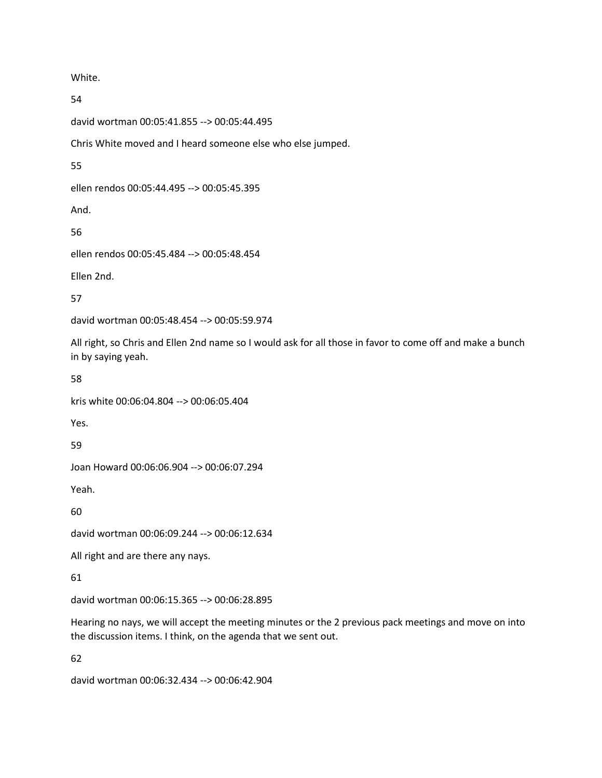White.

54

david wortman 00:05:41.855 --> 00:05:44.495 Chris White moved and I heard someone else who else jumped. 55 ellen rendos 00:05:44.495 --> 00:05:45.395 And. 56 ellen rendos 00:05:45.484 --> 00:05:48.454 Ellen 2nd.

57

david wortman 00:05:48.454 --> 00:05:59.974

All right, so Chris and Ellen 2nd name so I would ask for all those in favor to come off and make a bunch in by saying yeah.

58

kris white 00:06:04.804 --> 00:06:05.404

Yes.

59

Joan Howard 00:06:06.904 --> 00:06:07.294

Yeah.

60

david wortman 00:06:09.244 --> 00:06:12.634

All right and are there any nays.

61

david wortman 00:06:15.365 --> 00:06:28.895

Hearing no nays, we will accept the meeting minutes or the 2 previous pack meetings and move on into the discussion items. I think, on the agenda that we sent out.

62

david wortman 00:06:32.434 --> 00:06:42.904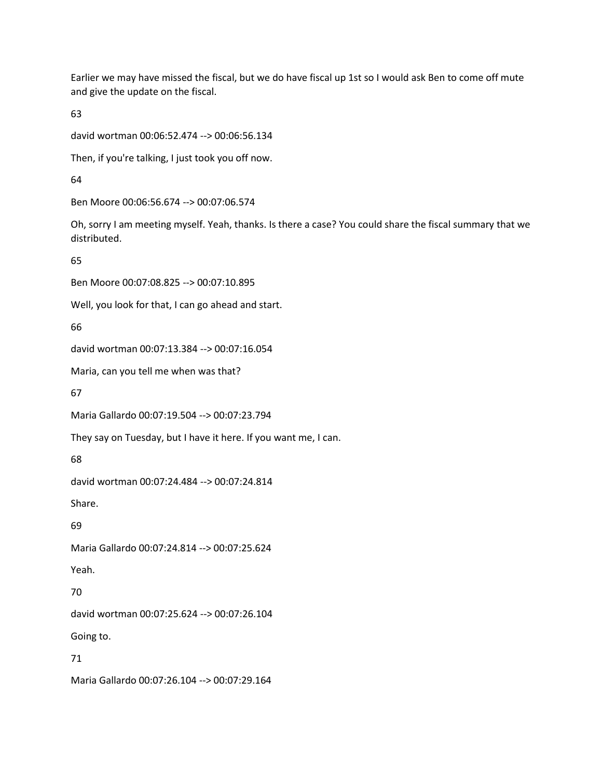Earlier we may have missed the fiscal, but we do have fiscal up 1st so I would ask Ben to come off mute and give the update on the fiscal.

63

david wortman 00:06:52.474 --> 00:06:56.134

Then, if you're talking, I just took you off now.

64

Ben Moore 00:06:56.674 --> 00:07:06.574

Oh, sorry I am meeting myself. Yeah, thanks. Is there a case? You could share the fiscal summary that we distributed.

65

Ben Moore 00:07:08.825 --> 00:07:10.895

Well, you look for that, I can go ahead and start.

66

david wortman 00:07:13.384 --> 00:07:16.054

Maria, can you tell me when was that?

67

Maria Gallardo 00:07:19.504 --> 00:07:23.794

They say on Tuesday, but I have it here. If you want me, I can.

68

david wortman 00:07:24.484 --> 00:07:24.814

Share.

69

Maria Gallardo 00:07:24.814 --> 00:07:25.624

Yeah.

70

david wortman 00:07:25.624 --> 00:07:26.104

Going to.

71

Maria Gallardo 00:07:26.104 --> 00:07:29.164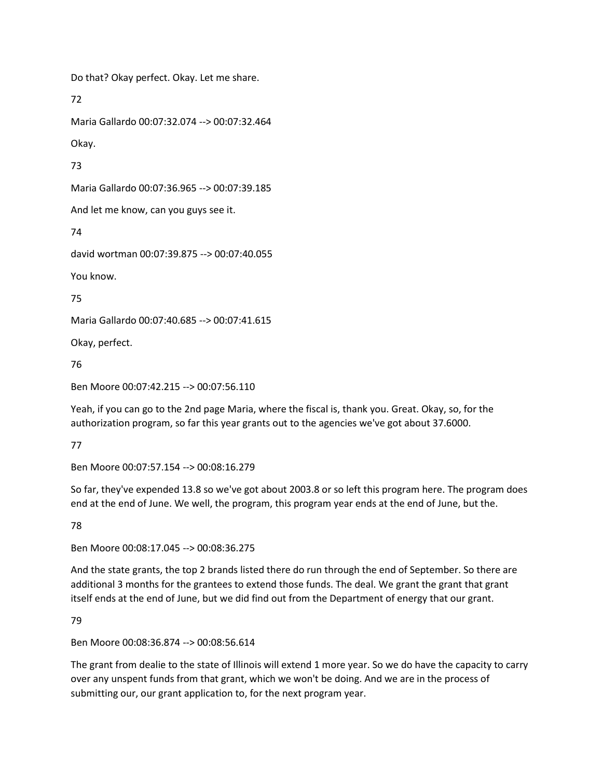Do that? Okay perfect. Okay. Let me share.

72

Maria Gallardo 00:07:32.074 --> 00:07:32.464

Okay.

73

Maria Gallardo 00:07:36.965 --> 00:07:39.185

And let me know, can you guys see it.

74

david wortman 00:07:39.875 --> 00:07:40.055

You know.

75

Maria Gallardo 00:07:40.685 --> 00:07:41.615

Okay, perfect.

76

Ben Moore 00:07:42.215 --> 00:07:56.110

Yeah, if you can go to the 2nd page Maria, where the fiscal is, thank you. Great. Okay, so, for the authorization program, so far this year grants out to the agencies we've got about 37.6000.

77

Ben Moore 00:07:57.154 --> 00:08:16.279

So far, they've expended 13.8 so we've got about 2003.8 or so left this program here. The program does end at the end of June. We well, the program, this program year ends at the end of June, but the.

78

Ben Moore 00:08:17.045 --> 00:08:36.275

And the state grants, the top 2 brands listed there do run through the end of September. So there are additional 3 months for the grantees to extend those funds. The deal. We grant the grant that grant itself ends at the end of June, but we did find out from the Department of energy that our grant.

79

Ben Moore 00:08:36.874 --> 00:08:56.614

The grant from dealie to the state of Illinois will extend 1 more year. So we do have the capacity to carry over any unspent funds from that grant, which we won't be doing. And we are in the process of submitting our, our grant application to, for the next program year.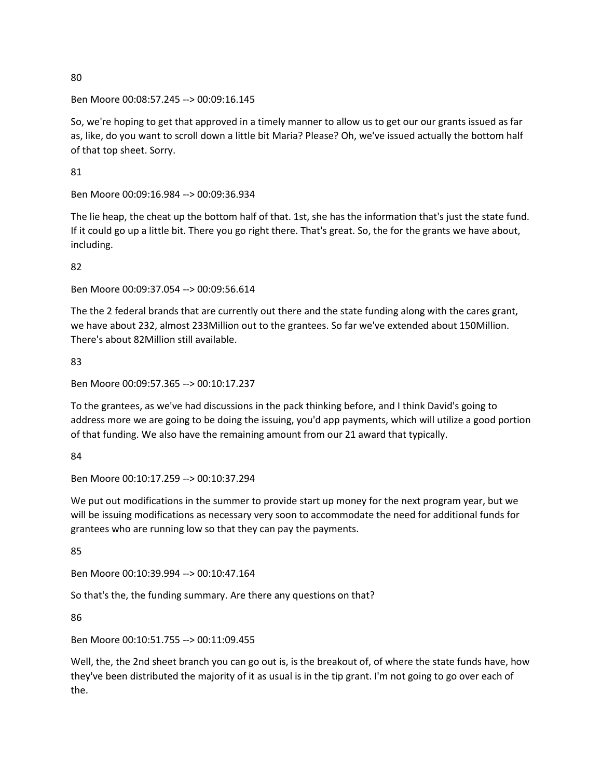#### Ben Moore 00:08:57.245 --> 00:09:16.145

So, we're hoping to get that approved in a timely manner to allow us to get our our grants issued as far as, like, do you want to scroll down a little bit Maria? Please? Oh, we've issued actually the bottom half of that top sheet. Sorry.

81

Ben Moore 00:09:16.984 --> 00:09:36.934

The lie heap, the cheat up the bottom half of that. 1st, she has the information that's just the state fund. If it could go up a little bit. There you go right there. That's great. So, the for the grants we have about, including.

82

Ben Moore 00:09:37.054 --> 00:09:56.614

The the 2 federal brands that are currently out there and the state funding along with the cares grant, we have about 232, almost 233Million out to the grantees. So far we've extended about 150Million. There's about 82Million still available.

83

Ben Moore 00:09:57.365 --> 00:10:17.237

To the grantees, as we've had discussions in the pack thinking before, and I think David's going to address more we are going to be doing the issuing, you'd app payments, which will utilize a good portion of that funding. We also have the remaining amount from our 21 award that typically.

84

Ben Moore 00:10:17.259 --> 00:10:37.294

We put out modifications in the summer to provide start up money for the next program year, but we will be issuing modifications as necessary very soon to accommodate the need for additional funds for grantees who are running low so that they can pay the payments.

85

Ben Moore 00:10:39.994 --> 00:10:47.164

So that's the, the funding summary. Are there any questions on that?

86

Ben Moore 00:10:51.755 --> 00:11:09.455

Well, the, the 2nd sheet branch you can go out is, is the breakout of, of where the state funds have, how they've been distributed the majority of it as usual is in the tip grant. I'm not going to go over each of the.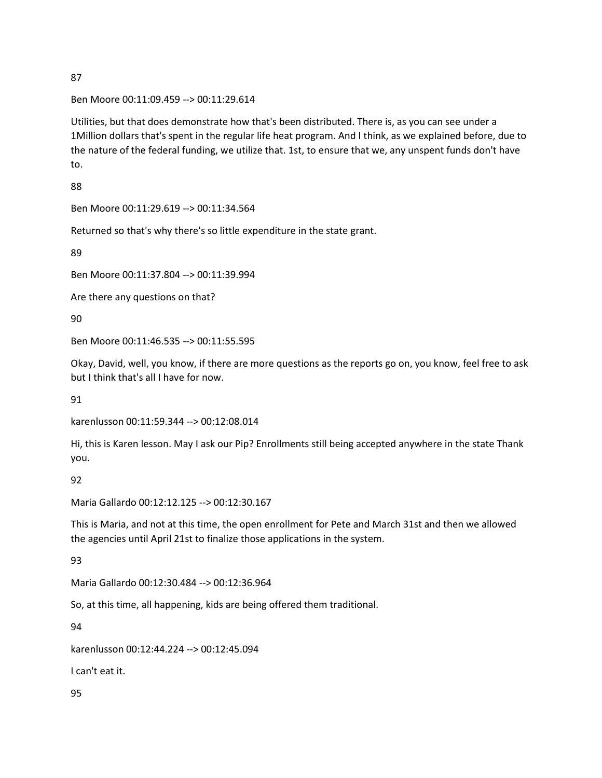Ben Moore 00:11:09.459 --> 00:11:29.614

Utilities, but that does demonstrate how that's been distributed. There is, as you can see under a 1Million dollars that's spent in the regular life heat program. And I think, as we explained before, due to the nature of the federal funding, we utilize that. 1st, to ensure that we, any unspent funds don't have to.

88

Ben Moore 00:11:29.619 --> 00:11:34.564

Returned so that's why there's so little expenditure in the state grant.

89

Ben Moore 00:11:37.804 --> 00:11:39.994

Are there any questions on that?

90

Ben Moore 00:11:46.535 --> 00:11:55.595

Okay, David, well, you know, if there are more questions as the reports go on, you know, feel free to ask but I think that's all I have for now.

91

karenlusson 00:11:59.344 --> 00:12:08.014

Hi, this is Karen lesson. May I ask our Pip? Enrollments still being accepted anywhere in the state Thank you.

92

Maria Gallardo 00:12:12.125 --> 00:12:30.167

This is Maria, and not at this time, the open enrollment for Pete and March 31st and then we allowed the agencies until April 21st to finalize those applications in the system.

93

Maria Gallardo 00:12:30.484 --> 00:12:36.964

So, at this time, all happening, kids are being offered them traditional.

94

karenlusson 00:12:44.224 --> 00:12:45.094

I can't eat it.

95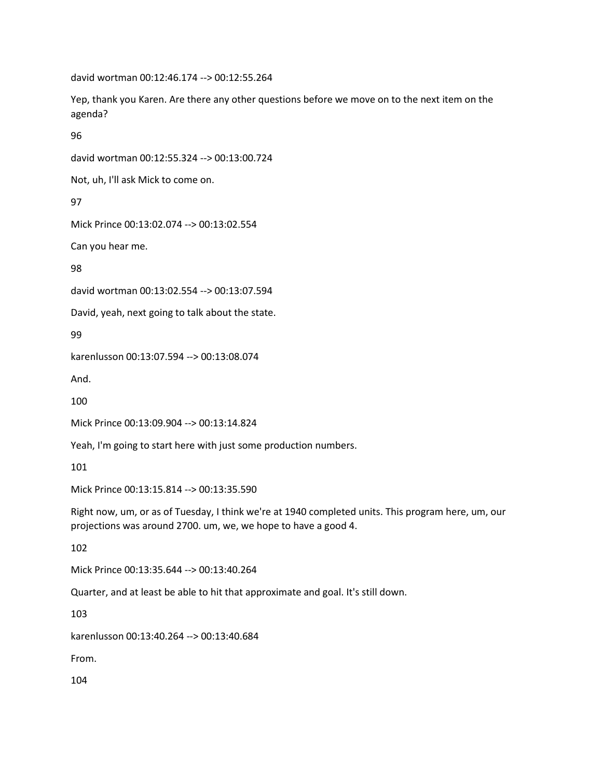david wortman 00:12:46.174 --> 00:12:55.264

Yep, thank you Karen. Are there any other questions before we move on to the next item on the agenda?

96

david wortman 00:12:55.324 --> 00:13:00.724

Not, uh, I'll ask Mick to come on.

97

Mick Prince 00:13:02.074 --> 00:13:02.554

Can you hear me.

98

david wortman 00:13:02.554 --> 00:13:07.594

David, yeah, next going to talk about the state.

99

karenlusson 00:13:07.594 --> 00:13:08.074

And.

100

Mick Prince 00:13:09.904 --> 00:13:14.824

Yeah, I'm going to start here with just some production numbers.

101

Mick Prince 00:13:15.814 --> 00:13:35.590

Right now, um, or as of Tuesday, I think we're at 1940 completed units. This program here, um, our projections was around 2700. um, we, we hope to have a good 4.

102

Mick Prince 00:13:35.644 --> 00:13:40.264

Quarter, and at least be able to hit that approximate and goal. It's still down.

103

karenlusson 00:13:40.264 --> 00:13:40.684

From.

104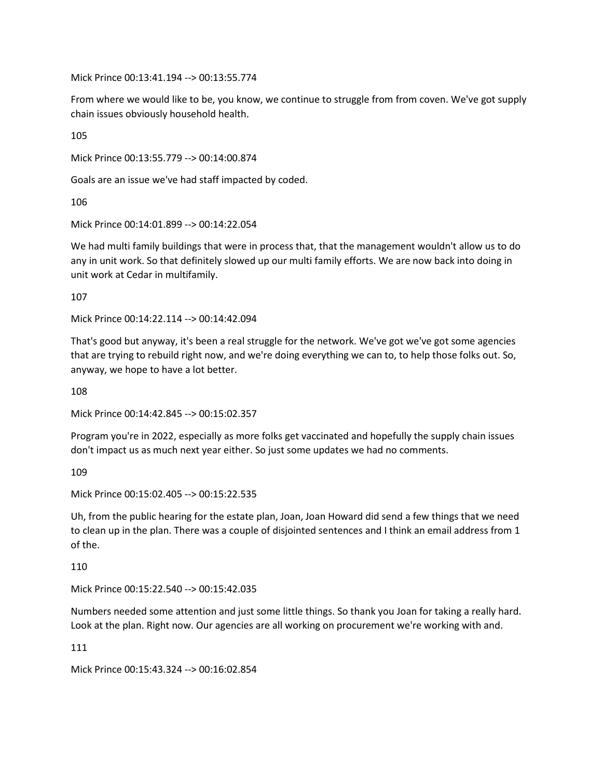Mick Prince 00:13:41.194 --> 00:13:55.774

From where we would like to be, you know, we continue to struggle from from coven. We've got supply chain issues obviously household health.

105

Mick Prince 00:13:55.779 --> 00:14:00.874

Goals are an issue we've had staff impacted by coded.

106

Mick Prince 00:14:01.899 --> 00:14:22.054

We had multi family buildings that were in process that, that the management wouldn't allow us to do any in unit work. So that definitely slowed up our multi family efforts. We are now back into doing in unit work at Cedar in multifamily.

107

Mick Prince 00:14:22.114 --> 00:14:42.094

That's good but anyway, it's been a real struggle for the network. We've got we've got some agencies that are trying to rebuild right now, and we're doing everything we can to, to help those folks out. So, anyway, we hope to have a lot better.

108

Mick Prince 00:14:42.845 --> 00:15:02.357

Program you're in 2022, especially as more folks get vaccinated and hopefully the supply chain issues don't impact us as much next year either. So just some updates we had no comments.

109

Mick Prince 00:15:02.405 --> 00:15:22.535

Uh, from the public hearing for the estate plan, Joan, Joan Howard did send a few things that we need to clean up in the plan. There was a couple of disjointed sentences and I think an email address from 1 of the.

110

Mick Prince 00:15:22.540 --> 00:15:42.035

Numbers needed some attention and just some little things. So thank you Joan for taking a really hard. Look at the plan. Right now. Our agencies are all working on procurement we're working with and.

111

Mick Prince 00:15:43.324 --> 00:16:02.854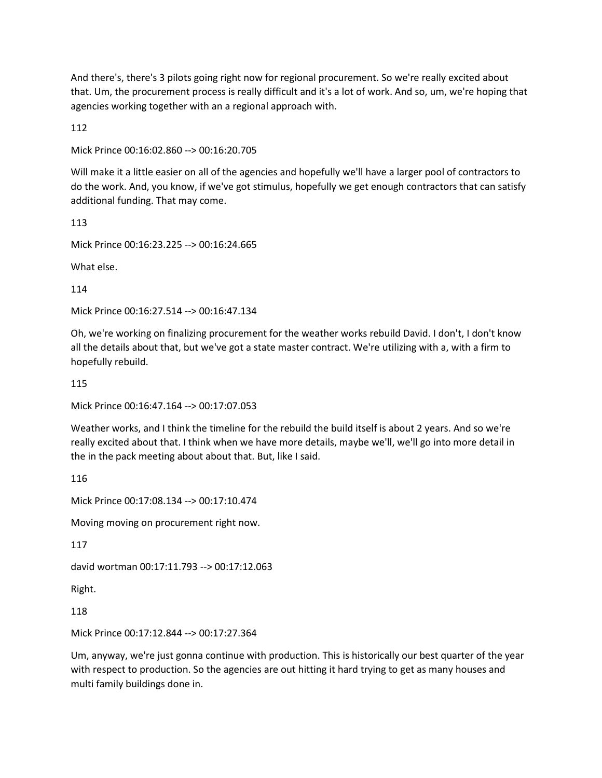And there's, there's 3 pilots going right now for regional procurement. So we're really excited about that. Um, the procurement process is really difficult and it's a lot of work. And so, um, we're hoping that agencies working together with an a regional approach with.

112

Mick Prince 00:16:02.860 --> 00:16:20.705

Will make it a little easier on all of the agencies and hopefully we'll have a larger pool of contractors to do the work. And, you know, if we've got stimulus, hopefully we get enough contractors that can satisfy additional funding. That may come.

113

Mick Prince 00:16:23.225 --> 00:16:24.665

What else.

114

Mick Prince 00:16:27.514 --> 00:16:47.134

Oh, we're working on finalizing procurement for the weather works rebuild David. I don't, I don't know all the details about that, but we've got a state master contract. We're utilizing with a, with a firm to hopefully rebuild.

115

Mick Prince 00:16:47.164 --> 00:17:07.053

Weather works, and I think the timeline for the rebuild the build itself is about 2 years. And so we're really excited about that. I think when we have more details, maybe we'll, we'll go into more detail in the in the pack meeting about about that. But, like I said.

116

Mick Prince 00:17:08.134 --> 00:17:10.474

Moving moving on procurement right now.

117

david wortman 00:17:11.793 --> 00:17:12.063

Right.

118

Mick Prince 00:17:12.844 --> 00:17:27.364

Um, anyway, we're just gonna continue with production. This is historically our best quarter of the year with respect to production. So the agencies are out hitting it hard trying to get as many houses and multi family buildings done in.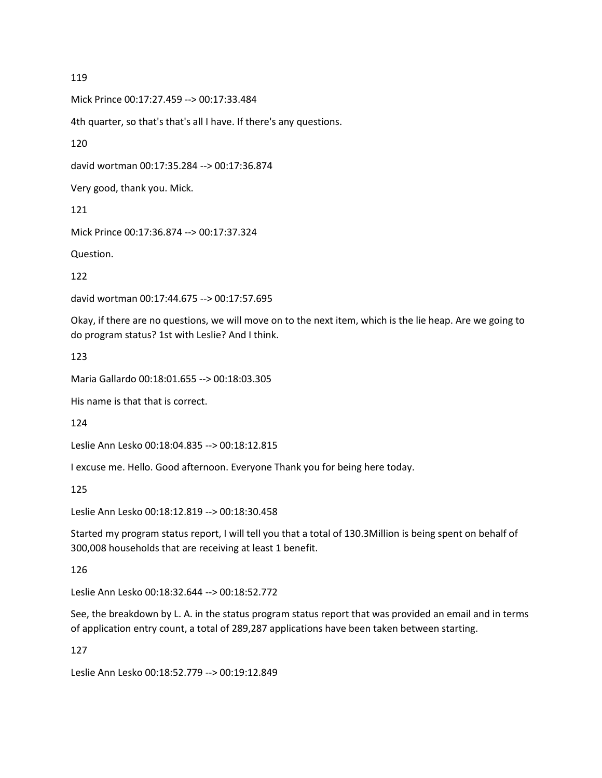Mick Prince 00:17:27.459 --> 00:17:33.484

4th quarter, so that's that's all I have. If there's any questions.

120

david wortman 00:17:35.284 --> 00:17:36.874

Very good, thank you. Mick.

121

Mick Prince 00:17:36.874 --> 00:17:37.324

Question.

122

david wortman 00:17:44.675 --> 00:17:57.695

Okay, if there are no questions, we will move on to the next item, which is the lie heap. Are we going to do program status? 1st with Leslie? And I think.

123

Maria Gallardo 00:18:01.655 --> 00:18:03.305

His name is that that is correct.

124

Leslie Ann Lesko 00:18:04.835 --> 00:18:12.815

I excuse me. Hello. Good afternoon. Everyone Thank you for being here today.

125

Leslie Ann Lesko 00:18:12.819 --> 00:18:30.458

Started my program status report, I will tell you that a total of 130.3Million is being spent on behalf of 300,008 households that are receiving at least 1 benefit.

126

Leslie Ann Lesko 00:18:32.644 --> 00:18:52.772

See, the breakdown by L. A. in the status program status report that was provided an email and in terms of application entry count, a total of 289,287 applications have been taken between starting.

127

Leslie Ann Lesko 00:18:52.779 --> 00:19:12.849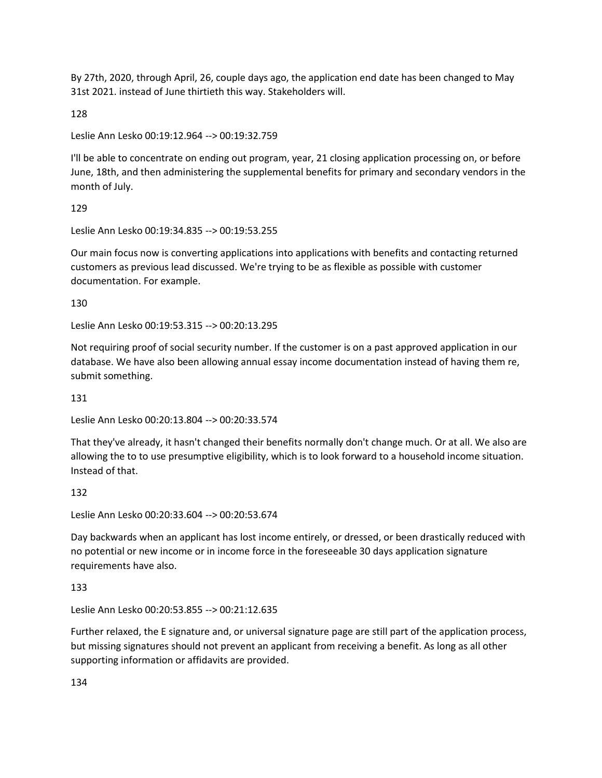By 27th, 2020, through April, 26, couple days ago, the application end date has been changed to May 31st 2021. instead of June thirtieth this way. Stakeholders will.

128

Leslie Ann Lesko 00:19:12.964 --> 00:19:32.759

I'll be able to concentrate on ending out program, year, 21 closing application processing on, or before June, 18th, and then administering the supplemental benefits for primary and secondary vendors in the month of July.

129

Leslie Ann Lesko 00:19:34.835 --> 00:19:53.255

Our main focus now is converting applications into applications with benefits and contacting returned customers as previous lead discussed. We're trying to be as flexible as possible with customer documentation. For example.

130

Leslie Ann Lesko 00:19:53.315 --> 00:20:13.295

Not requiring proof of social security number. If the customer is on a past approved application in our database. We have also been allowing annual essay income documentation instead of having them re, submit something.

131

Leslie Ann Lesko 00:20:13.804 --> 00:20:33.574

That they've already, it hasn't changed their benefits normally don't change much. Or at all. We also are allowing the to to use presumptive eligibility, which is to look forward to a household income situation. Instead of that.

132

Leslie Ann Lesko 00:20:33.604 --> 00:20:53.674

Day backwards when an applicant has lost income entirely, or dressed, or been drastically reduced with no potential or new income or in income force in the foreseeable 30 days application signature requirements have also.

133

Leslie Ann Lesko 00:20:53.855 --> 00:21:12.635

Further relaxed, the E signature and, or universal signature page are still part of the application process, but missing signatures should not prevent an applicant from receiving a benefit. As long as all other supporting information or affidavits are provided.

134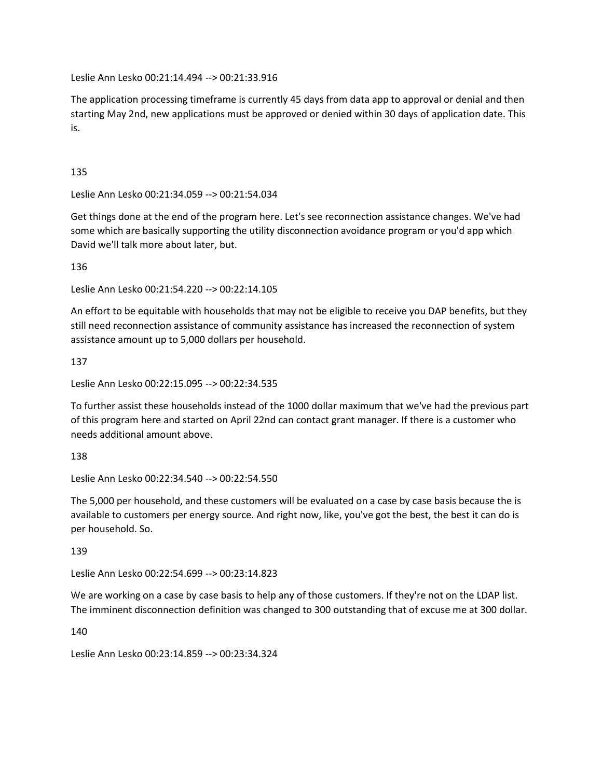Leslie Ann Lesko 00:21:14.494 --> 00:21:33.916

The application processing timeframe is currently 45 days from data app to approval or denial and then starting May 2nd, new applications must be approved or denied within 30 days of application date. This is.

135

Leslie Ann Lesko 00:21:34.059 --> 00:21:54.034

Get things done at the end of the program here. Let's see reconnection assistance changes. We've had some which are basically supporting the utility disconnection avoidance program or you'd app which David we'll talk more about later, but.

136

Leslie Ann Lesko 00:21:54.220 --> 00:22:14.105

An effort to be equitable with households that may not be eligible to receive you DAP benefits, but they still need reconnection assistance of community assistance has increased the reconnection of system assistance amount up to 5,000 dollars per household.

137

Leslie Ann Lesko 00:22:15.095 --> 00:22:34.535

To further assist these households instead of the 1000 dollar maximum that we've had the previous part of this program here and started on April 22nd can contact grant manager. If there is a customer who needs additional amount above.

138

Leslie Ann Lesko 00:22:34.540 --> 00:22:54.550

The 5,000 per household, and these customers will be evaluated on a case by case basis because the is available to customers per energy source. And right now, like, you've got the best, the best it can do is per household. So.

139

Leslie Ann Lesko 00:22:54.699 --> 00:23:14.823

We are working on a case by case basis to help any of those customers. If they're not on the LDAP list. The imminent disconnection definition was changed to 300 outstanding that of excuse me at 300 dollar.

140

Leslie Ann Lesko 00:23:14.859 --> 00:23:34.324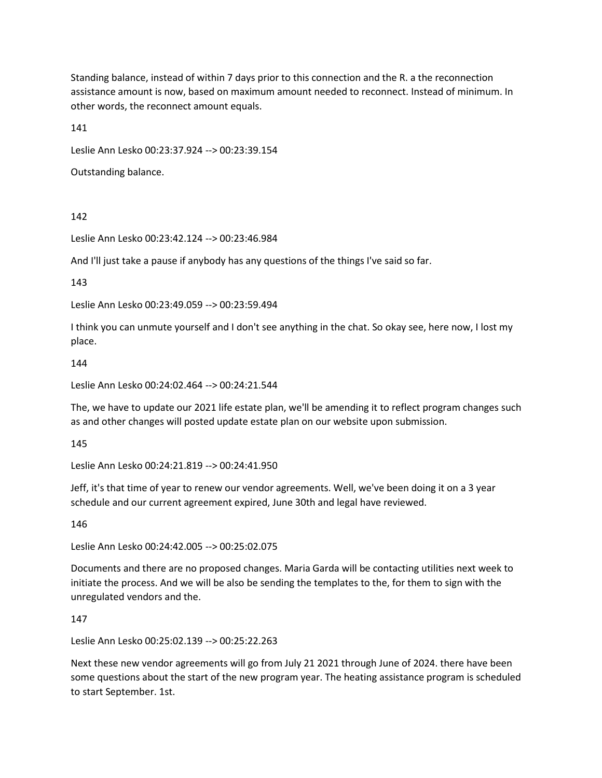Standing balance, instead of within 7 days prior to this connection and the R. a the reconnection assistance amount is now, based on maximum amount needed to reconnect. Instead of minimum. In other words, the reconnect amount equals.

141

Leslie Ann Lesko 00:23:37.924 --> 00:23:39.154

Outstanding balance.

142

Leslie Ann Lesko 00:23:42.124 --> 00:23:46.984

And I'll just take a pause if anybody has any questions of the things I've said so far.

143

Leslie Ann Lesko 00:23:49.059 --> 00:23:59.494

I think you can unmute yourself and I don't see anything in the chat. So okay see, here now, I lost my place.

144

Leslie Ann Lesko 00:24:02.464 --> 00:24:21.544

The, we have to update our 2021 life estate plan, we'll be amending it to reflect program changes such as and other changes will posted update estate plan on our website upon submission.

145

Leslie Ann Lesko 00:24:21.819 --> 00:24:41.950

Jeff, it's that time of year to renew our vendor agreements. Well, we've been doing it on a 3 year schedule and our current agreement expired, June 30th and legal have reviewed.

146

Leslie Ann Lesko 00:24:42.005 --> 00:25:02.075

Documents and there are no proposed changes. Maria Garda will be contacting utilities next week to initiate the process. And we will be also be sending the templates to the, for them to sign with the unregulated vendors and the.

147

Leslie Ann Lesko 00:25:02.139 --> 00:25:22.263

Next these new vendor agreements will go from July 21 2021 through June of 2024. there have been some questions about the start of the new program year. The heating assistance program is scheduled to start September. 1st.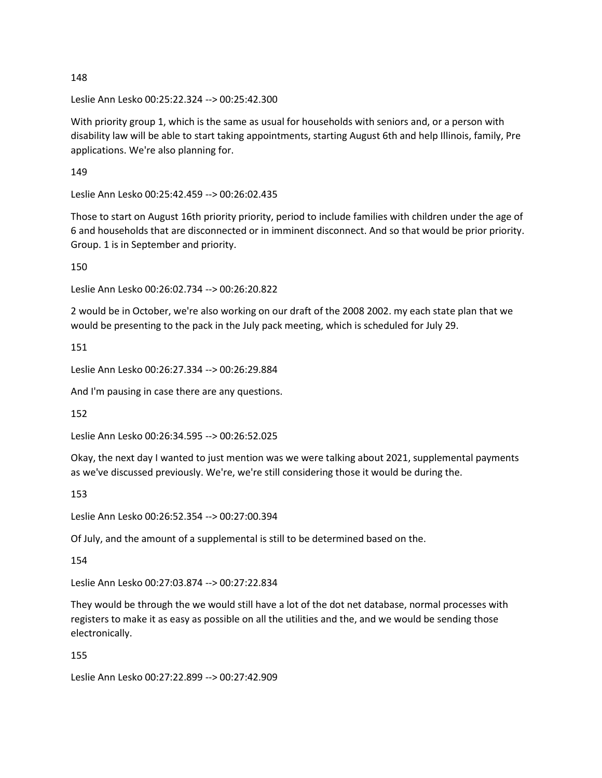Leslie Ann Lesko 00:25:22.324 --> 00:25:42.300

With priority group 1, which is the same as usual for households with seniors and, or a person with disability law will be able to start taking appointments, starting August 6th and help Illinois, family, Pre applications. We're also planning for.

149

Leslie Ann Lesko 00:25:42.459 --> 00:26:02.435

Those to start on August 16th priority priority, period to include families with children under the age of 6 and households that are disconnected or in imminent disconnect. And so that would be prior priority. Group. 1 is in September and priority.

150

Leslie Ann Lesko 00:26:02.734 --> 00:26:20.822

2 would be in October, we're also working on our draft of the 2008 2002. my each state plan that we would be presenting to the pack in the July pack meeting, which is scheduled for July 29.

151

Leslie Ann Lesko 00:26:27.334 --> 00:26:29.884

And I'm pausing in case there are any questions.

152

Leslie Ann Lesko 00:26:34.595 --> 00:26:52.025

Okay, the next day I wanted to just mention was we were talking about 2021, supplemental payments as we've discussed previously. We're, we're still considering those it would be during the.

153

Leslie Ann Lesko 00:26:52.354 --> 00:27:00.394

Of July, and the amount of a supplemental is still to be determined based on the.

154

Leslie Ann Lesko 00:27:03.874 --> 00:27:22.834

They would be through the we would still have a lot of the dot net database, normal processes with registers to make it as easy as possible on all the utilities and the, and we would be sending those electronically.

155

Leslie Ann Lesko 00:27:22.899 --> 00:27:42.909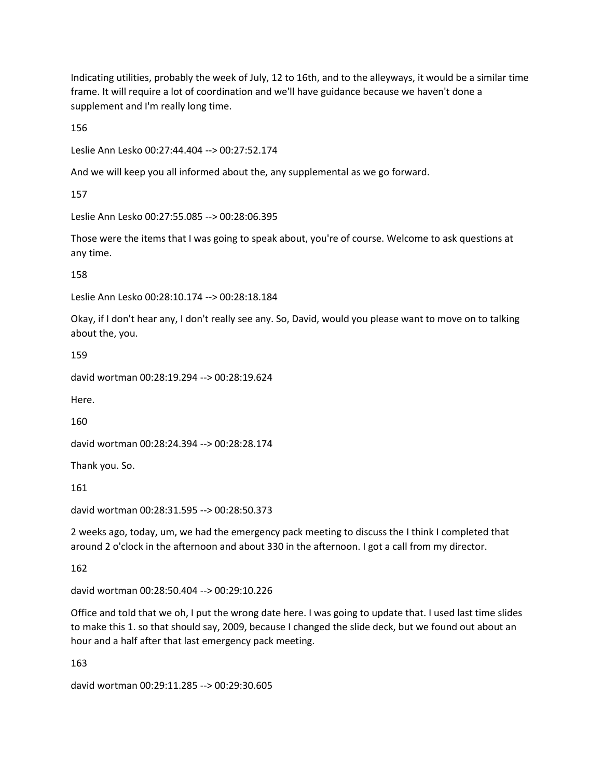Indicating utilities, probably the week of July, 12 to 16th, and to the alleyways, it would be a similar time frame. It will require a lot of coordination and we'll have guidance because we haven't done a supplement and I'm really long time.

156

Leslie Ann Lesko 00:27:44.404 --> 00:27:52.174

And we will keep you all informed about the, any supplemental as we go forward.

157

Leslie Ann Lesko 00:27:55.085 --> 00:28:06.395

Those were the items that I was going to speak about, you're of course. Welcome to ask questions at any time.

158

Leslie Ann Lesko 00:28:10.174 --> 00:28:18.184

Okay, if I don't hear any, I don't really see any. So, David, would you please want to move on to talking about the, you.

159

david wortman 00:28:19.294 --> 00:28:19.624

Here.

160

david wortman 00:28:24.394 --> 00:28:28.174

Thank you. So.

161

david wortman 00:28:31.595 --> 00:28:50.373

2 weeks ago, today, um, we had the emergency pack meeting to discuss the I think I completed that around 2 o'clock in the afternoon and about 330 in the afternoon. I got a call from my director.

162

david wortman 00:28:50.404 --> 00:29:10.226

Office and told that we oh, I put the wrong date here. I was going to update that. I used last time slides to make this 1. so that should say, 2009, because I changed the slide deck, but we found out about an hour and a half after that last emergency pack meeting.

163

david wortman 00:29:11.285 --> 00:29:30.605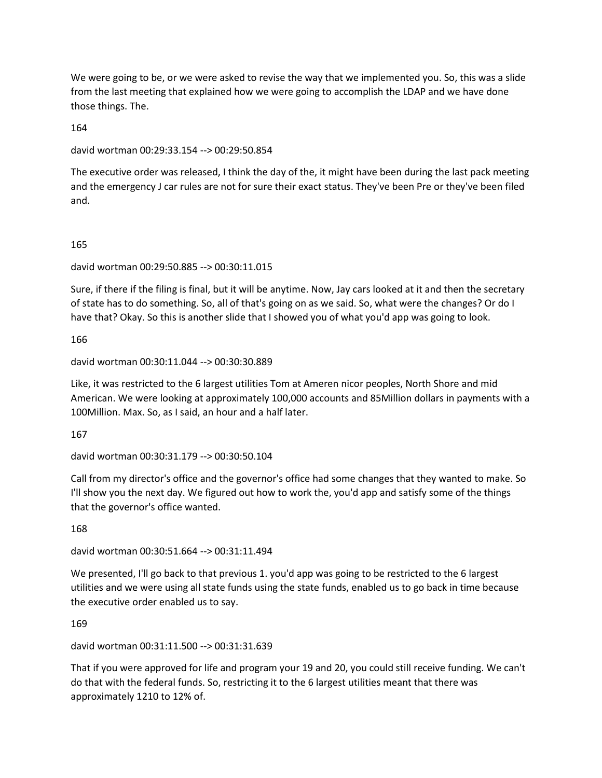We were going to be, or we were asked to revise the way that we implemented you. So, this was a slide from the last meeting that explained how we were going to accomplish the LDAP and we have done those things. The.

164

david wortman 00:29:33.154 --> 00:29:50.854

The executive order was released, I think the day of the, it might have been during the last pack meeting and the emergency J car rules are not for sure their exact status. They've been Pre or they've been filed and.

165

david wortman 00:29:50.885 --> 00:30:11.015

Sure, if there if the filing is final, but it will be anytime. Now, Jay cars looked at it and then the secretary of state has to do something. So, all of that's going on as we said. So, what were the changes? Or do I have that? Okay. So this is another slide that I showed you of what you'd app was going to look.

166

david wortman 00:30:11.044 --> 00:30:30.889

Like, it was restricted to the 6 largest utilities Tom at Ameren nicor peoples, North Shore and mid American. We were looking at approximately 100,000 accounts and 85Million dollars in payments with a 100Million. Max. So, as I said, an hour and a half later.

167

david wortman 00:30:31.179 --> 00:30:50.104

Call from my director's office and the governor's office had some changes that they wanted to make. So I'll show you the next day. We figured out how to work the, you'd app and satisfy some of the things that the governor's office wanted.

168

david wortman 00:30:51.664 --> 00:31:11.494

We presented, I'll go back to that previous 1. you'd app was going to be restricted to the 6 largest utilities and we were using all state funds using the state funds, enabled us to go back in time because the executive order enabled us to say.

169

david wortman 00:31:11.500 --> 00:31:31.639

That if you were approved for life and program your 19 and 20, you could still receive funding. We can't do that with the federal funds. So, restricting it to the 6 largest utilities meant that there was approximately 1210 to 12% of.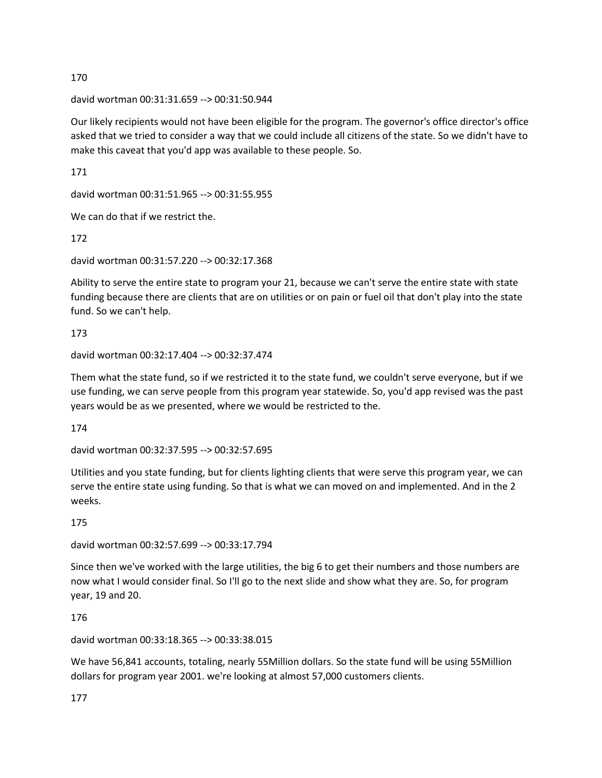david wortman 00:31:31.659 --> 00:31:50.944

Our likely recipients would not have been eligible for the program. The governor's office director's office asked that we tried to consider a way that we could include all citizens of the state. So we didn't have to make this caveat that you'd app was available to these people. So.

171

david wortman 00:31:51.965 --> 00:31:55.955

We can do that if we restrict the.

172

david wortman 00:31:57.220 --> 00:32:17.368

Ability to serve the entire state to program your 21, because we can't serve the entire state with state funding because there are clients that are on utilities or on pain or fuel oil that don't play into the state fund. So we can't help.

173

david wortman 00:32:17.404 --> 00:32:37.474

Them what the state fund, so if we restricted it to the state fund, we couldn't serve everyone, but if we use funding, we can serve people from this program year statewide. So, you'd app revised was the past years would be as we presented, where we would be restricted to the.

174

david wortman 00:32:37.595 --> 00:32:57.695

Utilities and you state funding, but for clients lighting clients that were serve this program year, we can serve the entire state using funding. So that is what we can moved on and implemented. And in the 2 weeks.

175

david wortman 00:32:57.699 --> 00:33:17.794

Since then we've worked with the large utilities, the big 6 to get their numbers and those numbers are now what I would consider final. So I'll go to the next slide and show what they are. So, for program year, 19 and 20.

176

david wortman 00:33:18.365 --> 00:33:38.015

We have 56,841 accounts, totaling, nearly 55Million dollars. So the state fund will be using 55Million dollars for program year 2001. we're looking at almost 57,000 customers clients.

177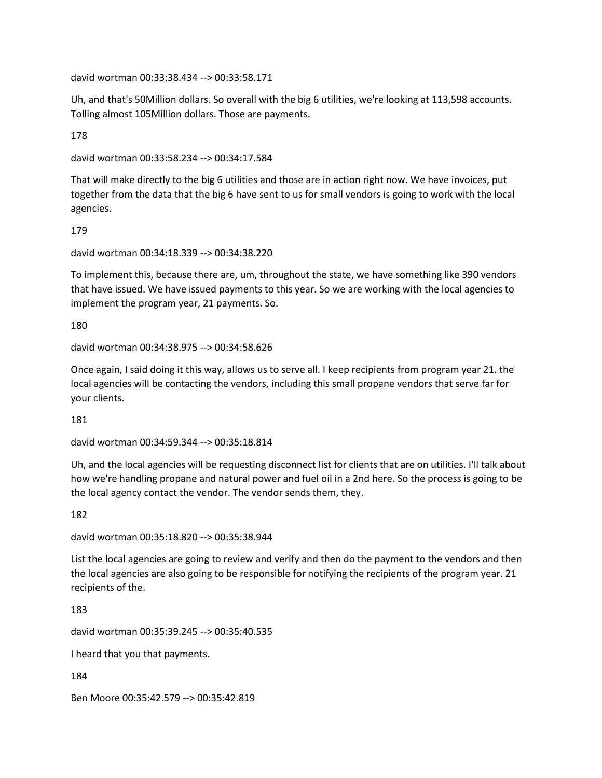david wortman 00:33:38.434 --> 00:33:58.171

Uh, and that's 50Million dollars. So overall with the big 6 utilities, we're looking at 113,598 accounts. Tolling almost 105Million dollars. Those are payments.

178

david wortman 00:33:58.234 --> 00:34:17.584

That will make directly to the big 6 utilities and those are in action right now. We have invoices, put together from the data that the big 6 have sent to us for small vendors is going to work with the local agencies.

179

david wortman 00:34:18.339 --> 00:34:38.220

To implement this, because there are, um, throughout the state, we have something like 390 vendors that have issued. We have issued payments to this year. So we are working with the local agencies to implement the program year, 21 payments. So.

180

david wortman 00:34:38.975 --> 00:34:58.626

Once again, I said doing it this way, allows us to serve all. I keep recipients from program year 21. the local agencies will be contacting the vendors, including this small propane vendors that serve far for your clients.

181

david wortman 00:34:59.344 --> 00:35:18.814

Uh, and the local agencies will be requesting disconnect list for clients that are on utilities. I'll talk about how we're handling propane and natural power and fuel oil in a 2nd here. So the process is going to be the local agency contact the vendor. The vendor sends them, they.

182

david wortman 00:35:18.820 --> 00:35:38.944

List the local agencies are going to review and verify and then do the payment to the vendors and then the local agencies are also going to be responsible for notifying the recipients of the program year. 21 recipients of the.

183

david wortman 00:35:39.245 --> 00:35:40.535

I heard that you that payments.

184

Ben Moore 00:35:42.579 --> 00:35:42.819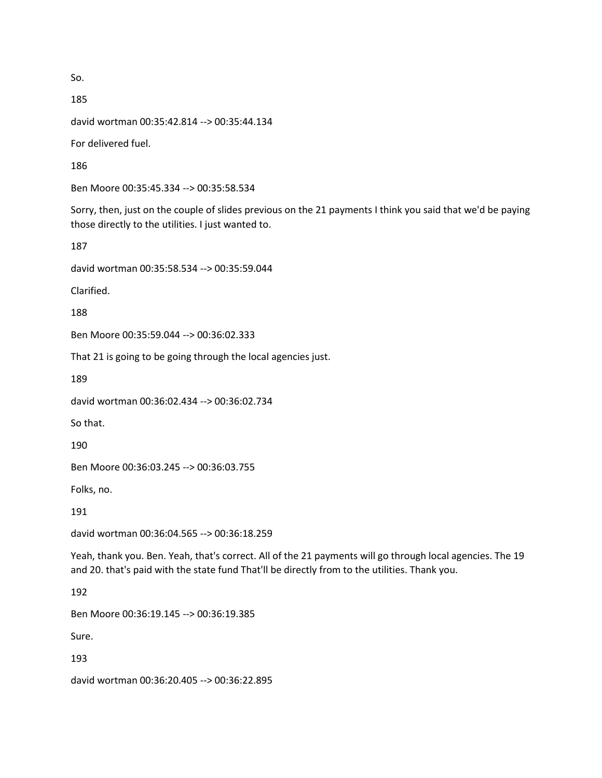So.

185 david wortman 00:35:42.814 --> 00:35:44.134 For delivered fuel.

186

Ben Moore 00:35:45.334 --> 00:35:58.534

Sorry, then, just on the couple of slides previous on the 21 payments I think you said that we'd be paying those directly to the utilities. I just wanted to.

187

david wortman 00:35:58.534 --> 00:35:59.044

Clarified.

188

Ben Moore 00:35:59.044 --> 00:36:02.333

That 21 is going to be going through the local agencies just.

189

david wortman 00:36:02.434 --> 00:36:02.734

So that.

190

Ben Moore 00:36:03.245 --> 00:36:03.755

Folks, no.

191

david wortman 00:36:04.565 --> 00:36:18.259

Yeah, thank you. Ben. Yeah, that's correct. All of the 21 payments will go through local agencies. The 19 and 20. that's paid with the state fund That'll be directly from to the utilities. Thank you.

192

Ben Moore 00:36:19.145 --> 00:36:19.385

Sure.

193

david wortman 00:36:20.405 --> 00:36:22.895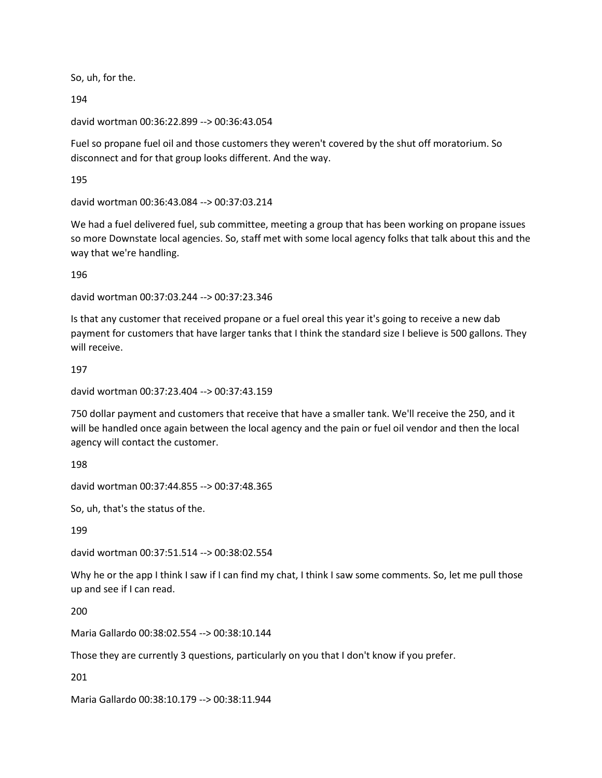So, uh, for the.

194

david wortman 00:36:22.899 --> 00:36:43.054

Fuel so propane fuel oil and those customers they weren't covered by the shut off moratorium. So disconnect and for that group looks different. And the way.

195

david wortman 00:36:43.084 --> 00:37:03.214

We had a fuel delivered fuel, sub committee, meeting a group that has been working on propane issues so more Downstate local agencies. So, staff met with some local agency folks that talk about this and the way that we're handling.

196

david wortman 00:37:03.244 --> 00:37:23.346

Is that any customer that received propane or a fuel oreal this year it's going to receive a new dab payment for customers that have larger tanks that I think the standard size I believe is 500 gallons. They will receive.

197

```
david wortman 00:37:23.404 --> 00:37:43.159
```
750 dollar payment and customers that receive that have a smaller tank. We'll receive the 250, and it will be handled once again between the local agency and the pain or fuel oil vendor and then the local agency will contact the customer.

198

david wortman 00:37:44.855 --> 00:37:48.365

So, uh, that's the status of the.

199

david wortman 00:37:51.514 --> 00:38:02.554

Why he or the app I think I saw if I can find my chat, I think I saw some comments. So, let me pull those up and see if I can read.

200

Maria Gallardo 00:38:02.554 --> 00:38:10.144

Those they are currently 3 questions, particularly on you that I don't know if you prefer.

201

Maria Gallardo 00:38:10.179 --> 00:38:11.944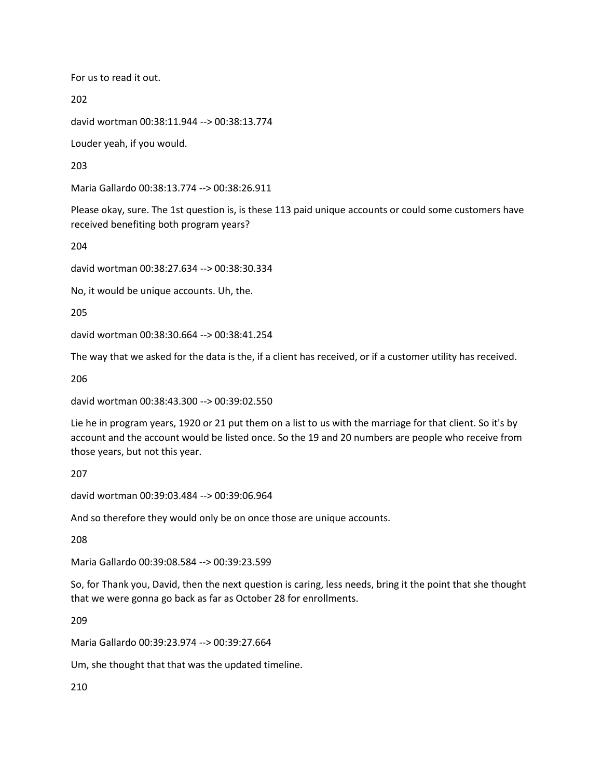For us to read it out.

202

david wortman 00:38:11.944 --> 00:38:13.774

Louder yeah, if you would.

203

Maria Gallardo 00:38:13.774 --> 00:38:26.911

Please okay, sure. The 1st question is, is these 113 paid unique accounts or could some customers have received benefiting both program years?

204

david wortman 00:38:27.634 --> 00:38:30.334

No, it would be unique accounts. Uh, the.

205

david wortman 00:38:30.664 --> 00:38:41.254

The way that we asked for the data is the, if a client has received, or if a customer utility has received.

206

david wortman 00:38:43.300 --> 00:39:02.550

Lie he in program years, 1920 or 21 put them on a list to us with the marriage for that client. So it's by account and the account would be listed once. So the 19 and 20 numbers are people who receive from those years, but not this year.

207

david wortman 00:39:03.484 --> 00:39:06.964

And so therefore they would only be on once those are unique accounts.

208

Maria Gallardo 00:39:08.584 --> 00:39:23.599

So, for Thank you, David, then the next question is caring, less needs, bring it the point that she thought that we were gonna go back as far as October 28 for enrollments.

209

Maria Gallardo 00:39:23.974 --> 00:39:27.664

Um, she thought that that was the updated timeline.

210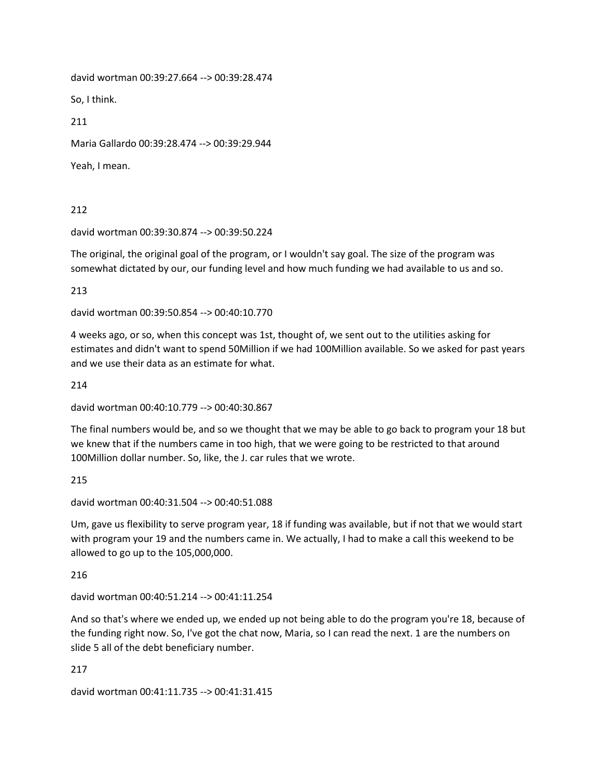david wortman 00:39:27.664 --> 00:39:28.474

So, I think.

211

Maria Gallardo 00:39:28.474 --> 00:39:29.944

Yeah, I mean.

212

david wortman 00:39:30.874 --> 00:39:50.224

The original, the original goal of the program, or I wouldn't say goal. The size of the program was somewhat dictated by our, our funding level and how much funding we had available to us and so.

213

david wortman 00:39:50.854 --> 00:40:10.770

4 weeks ago, or so, when this concept was 1st, thought of, we sent out to the utilities asking for estimates and didn't want to spend 50Million if we had 100Million available. So we asked for past years and we use their data as an estimate for what.

214

david wortman 00:40:10.779 --> 00:40:30.867

The final numbers would be, and so we thought that we may be able to go back to program your 18 but we knew that if the numbers came in too high, that we were going to be restricted to that around 100Million dollar number. So, like, the J. car rules that we wrote.

215

david wortman 00:40:31.504 --> 00:40:51.088

Um, gave us flexibility to serve program year, 18 if funding was available, but if not that we would start with program your 19 and the numbers came in. We actually, I had to make a call this weekend to be allowed to go up to the 105,000,000.

216

david wortman 00:40:51.214 --> 00:41:11.254

And so that's where we ended up, we ended up not being able to do the program you're 18, because of the funding right now. So, I've got the chat now, Maria, so I can read the next. 1 are the numbers on slide 5 all of the debt beneficiary number.

217

david wortman 00:41:11.735 --> 00:41:31.415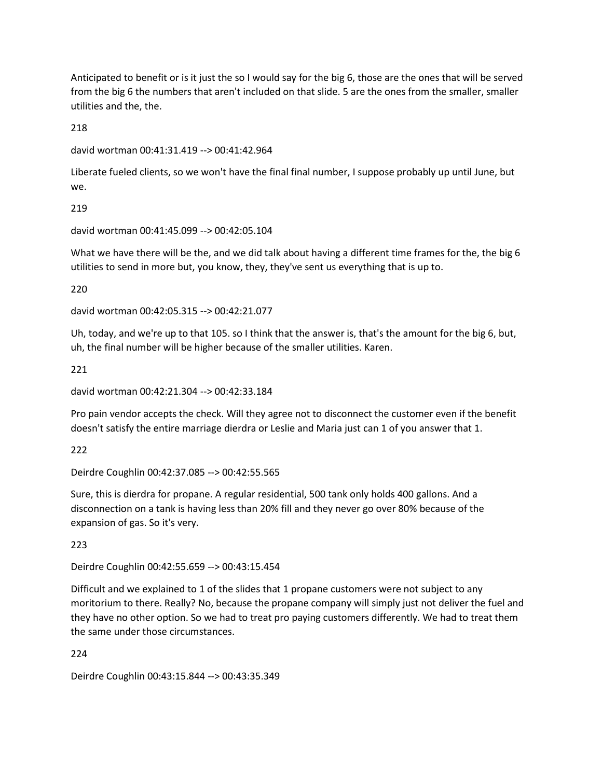Anticipated to benefit or is it just the so I would say for the big 6, those are the ones that will be served from the big 6 the numbers that aren't included on that slide. 5 are the ones from the smaller, smaller utilities and the, the.

218

```
david wortman 00:41:31.419 --> 00:41:42.964
```
Liberate fueled clients, so we won't have the final final number, I suppose probably up until June, but we.

219

david wortman 00:41:45.099 --> 00:42:05.104

What we have there will be the, and we did talk about having a different time frames for the, the big 6 utilities to send in more but, you know, they, they've sent us everything that is up to.

220

david wortman 00:42:05.315 --> 00:42:21.077

Uh, today, and we're up to that 105. so I think that the answer is, that's the amount for the big 6, but, uh, the final number will be higher because of the smaller utilities. Karen.

221

david wortman 00:42:21.304 --> 00:42:33.184

Pro pain vendor accepts the check. Will they agree not to disconnect the customer even if the benefit doesn't satisfy the entire marriage dierdra or Leslie and Maria just can 1 of you answer that 1.

222

Deirdre Coughlin 00:42:37.085 --> 00:42:55.565

Sure, this is dierdra for propane. A regular residential, 500 tank only holds 400 gallons. And a disconnection on a tank is having less than 20% fill and they never go over 80% because of the expansion of gas. So it's very.

223

Deirdre Coughlin 00:42:55.659 --> 00:43:15.454

Difficult and we explained to 1 of the slides that 1 propane customers were not subject to any moritorium to there. Really? No, because the propane company will simply just not deliver the fuel and they have no other option. So we had to treat pro paying customers differently. We had to treat them the same under those circumstances.

224

Deirdre Coughlin 00:43:15.844 --> 00:43:35.349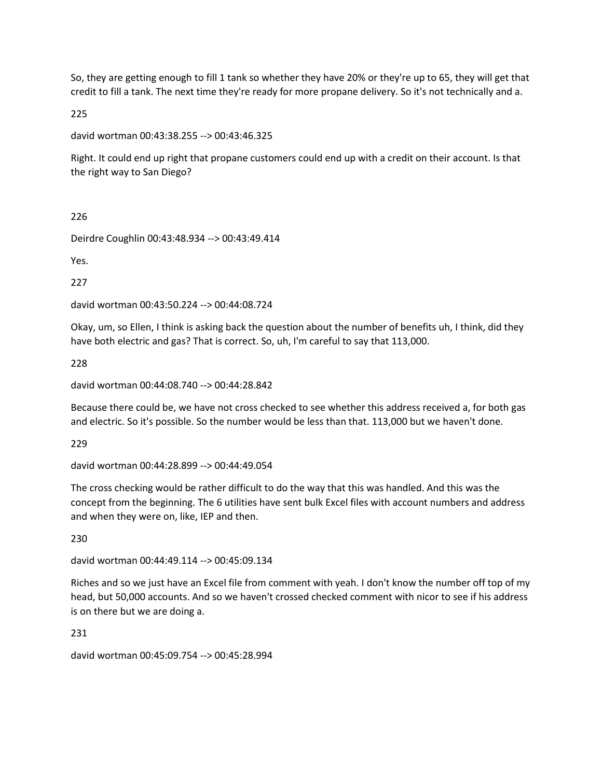So, they are getting enough to fill 1 tank so whether they have 20% or they're up to 65, they will get that credit to fill a tank. The next time they're ready for more propane delivery. So it's not technically and a.

225

david wortman 00:43:38.255 --> 00:43:46.325

Right. It could end up right that propane customers could end up with a credit on their account. Is that the right way to San Diego?

226

Deirdre Coughlin 00:43:48.934 --> 00:43:49.414

Yes.

227

david wortman 00:43:50.224 --> 00:44:08.724

Okay, um, so Ellen, I think is asking back the question about the number of benefits uh, I think, did they have both electric and gas? That is correct. So, uh, I'm careful to say that 113,000.

228

david wortman 00:44:08.740 --> 00:44:28.842

Because there could be, we have not cross checked to see whether this address received a, for both gas and electric. So it's possible. So the number would be less than that. 113,000 but we haven't done.

229

david wortman 00:44:28.899 --> 00:44:49.054

The cross checking would be rather difficult to do the way that this was handled. And this was the concept from the beginning. The 6 utilities have sent bulk Excel files with account numbers and address and when they were on, like, IEP and then.

230

david wortman 00:44:49.114 --> 00:45:09.134

Riches and so we just have an Excel file from comment with yeah. I don't know the number off top of my head, but 50,000 accounts. And so we haven't crossed checked comment with nicor to see if his address is on there but we are doing a.

231

david wortman 00:45:09.754 --> 00:45:28.994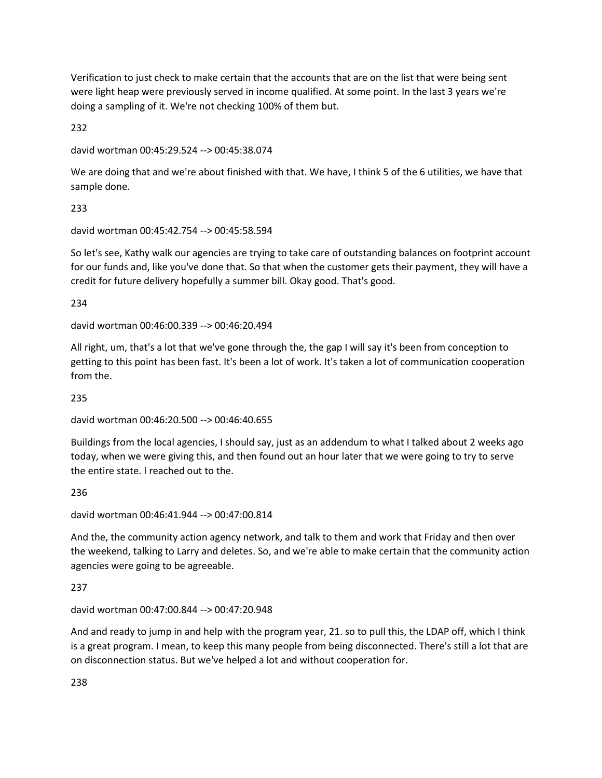Verification to just check to make certain that the accounts that are on the list that were being sent were light heap were previously served in income qualified. At some point. In the last 3 years we're doing a sampling of it. We're not checking 100% of them but.

232

david wortman 00:45:29.524 --> 00:45:38.074

We are doing that and we're about finished with that. We have, I think 5 of the 6 utilities, we have that sample done.

233

david wortman 00:45:42.754 --> 00:45:58.594

So let's see, Kathy walk our agencies are trying to take care of outstanding balances on footprint account for our funds and, like you've done that. So that when the customer gets their payment, they will have a credit for future delivery hopefully a summer bill. Okay good. That's good.

234

david wortman 00:46:00.339 --> 00:46:20.494

All right, um, that's a lot that we've gone through the, the gap I will say it's been from conception to getting to this point has been fast. It's been a lot of work. It's taken a lot of communication cooperation from the.

235

david wortman 00:46:20.500 --> 00:46:40.655

Buildings from the local agencies, I should say, just as an addendum to what I talked about 2 weeks ago today, when we were giving this, and then found out an hour later that we were going to try to serve the entire state. I reached out to the.

236

david wortman 00:46:41.944 --> 00:47:00.814

And the, the community action agency network, and talk to them and work that Friday and then over the weekend, talking to Larry and deletes. So, and we're able to make certain that the community action agencies were going to be agreeable.

237

david wortman 00:47:00.844 --> 00:47:20.948

And and ready to jump in and help with the program year, 21. so to pull this, the LDAP off, which I think is a great program. I mean, to keep this many people from being disconnected. There's still a lot that are on disconnection status. But we've helped a lot and without cooperation for.

238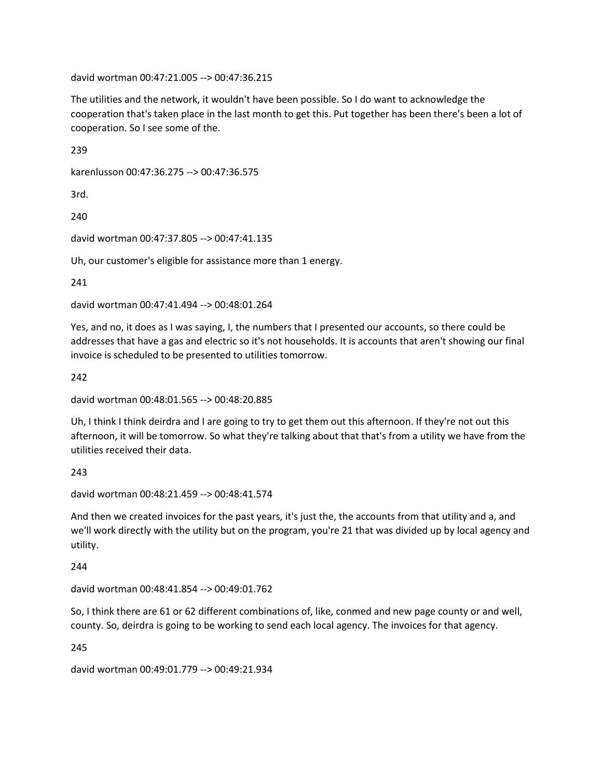david wortman 00:47:21.005 --> 00:47:36.215

The utilities and the network, it wouldn't have been possible. So I do want to acknowledge the cooperation that's taken place in the last month to get this. Put together has been there's been a lot of cooperation. So I see some of the.

239

karenlusson 00:47:36.275 --> 00:47:36.575

3rd.

240

david wortman 00:47:37.805 --> 00:47:41.135

Uh, our customer's eligible for assistance more than 1 energy.

241

david wortman 00:47:41.494 --> 00:48:01.264

Yes, and no, it does as I was saying, I, the numbers that I presented our accounts, so there could be addresses that have a gas and electric so it's not households. It is accounts that aren't showing our final invoice is scheduled to be presented to utilities tomorrow.

242

david wortman 00:48:01.565 --> 00:48:20.885

Uh, I think I think deirdra and I are going to try to get them out this afternoon. If they're not out this afternoon, it will be tomorrow. So what they're talking about that that's from a utility we have from the utilities received their data.

243

david wortman 00:48:21.459 --> 00:48:41.574

And then we created invoices for the past years, it's just the, the accounts from that utility and a, and we'll work directly with the utility but on the program, you're 21 that was divided up by local agency and utility.

244

david wortman 00:48:41.854 --> 00:49:01.762

So, I think there are 61 or 62 different combinations of, like, conmed and new page county or and well, county. So, deirdra is going to be working to send each local agency. The invoices for that agency.

245

david wortman 00:49:01.779 --> 00:49:21.934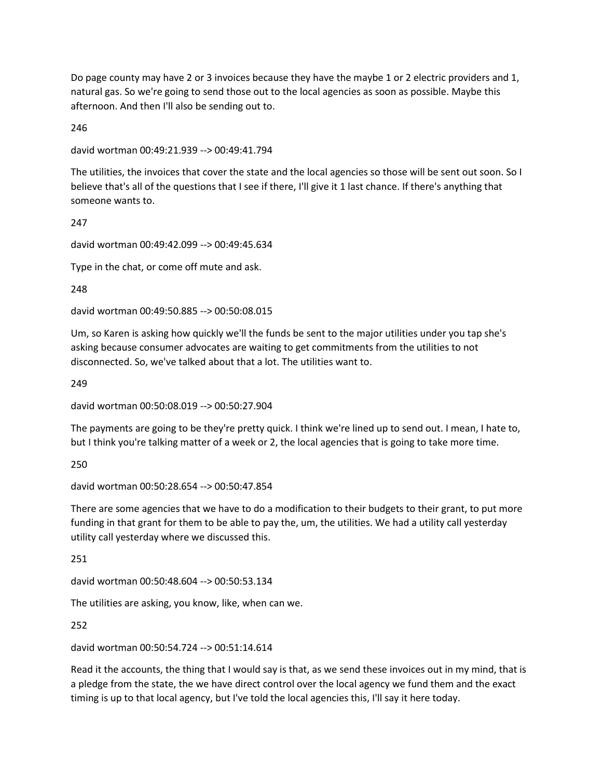Do page county may have 2 or 3 invoices because they have the maybe 1 or 2 electric providers and 1, natural gas. So we're going to send those out to the local agencies as soon as possible. Maybe this afternoon. And then I'll also be sending out to.

246

david wortman 00:49:21.939 --> 00:49:41.794

The utilities, the invoices that cover the state and the local agencies so those will be sent out soon. So I believe that's all of the questions that I see if there, I'll give it 1 last chance. If there's anything that someone wants to.

247

david wortman 00:49:42.099 --> 00:49:45.634

Type in the chat, or come off mute and ask.

248

david wortman 00:49:50.885 --> 00:50:08.015

Um, so Karen is asking how quickly we'll the funds be sent to the major utilities under you tap she's asking because consumer advocates are waiting to get commitments from the utilities to not disconnected. So, we've talked about that a lot. The utilities want to.

249

david wortman 00:50:08.019 --> 00:50:27.904

The payments are going to be they're pretty quick. I think we're lined up to send out. I mean, I hate to, but I think you're talking matter of a week or 2, the local agencies that is going to take more time.

250

david wortman 00:50:28.654 --> 00:50:47.854

There are some agencies that we have to do a modification to their budgets to their grant, to put more funding in that grant for them to be able to pay the, um, the utilities. We had a utility call yesterday utility call yesterday where we discussed this.

251

david wortman 00:50:48.604 --> 00:50:53.134

The utilities are asking, you know, like, when can we.

252

david wortman 00:50:54.724 --> 00:51:14.614

Read it the accounts, the thing that I would say is that, as we send these invoices out in my mind, that is a pledge from the state, the we have direct control over the local agency we fund them and the exact timing is up to that local agency, but I've told the local agencies this, I'll say it here today.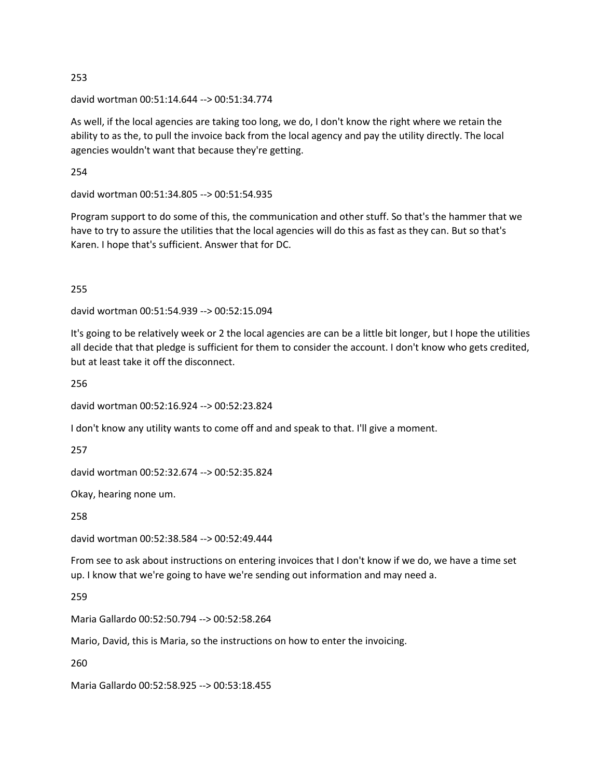david wortman 00:51:14.644 --> 00:51:34.774

As well, if the local agencies are taking too long, we do, I don't know the right where we retain the ability to as the, to pull the invoice back from the local agency and pay the utility directly. The local agencies wouldn't want that because they're getting.

254

david wortman 00:51:34.805 --> 00:51:54.935

Program support to do some of this, the communication and other stuff. So that's the hammer that we have to try to assure the utilities that the local agencies will do this as fast as they can. But so that's Karen. I hope that's sufficient. Answer that for DC.

255

david wortman 00:51:54.939 --> 00:52:15.094

It's going to be relatively week or 2 the local agencies are can be a little bit longer, but I hope the utilities all decide that that pledge is sufficient for them to consider the account. I don't know who gets credited, but at least take it off the disconnect.

256

david wortman 00:52:16.924 --> 00:52:23.824

I don't know any utility wants to come off and and speak to that. I'll give a moment.

257

david wortman 00:52:32.674 --> 00:52:35.824

Okay, hearing none um.

258

david wortman 00:52:38.584 --> 00:52:49.444

From see to ask about instructions on entering invoices that I don't know if we do, we have a time set up. I know that we're going to have we're sending out information and may need a.

259

Maria Gallardo 00:52:50.794 --> 00:52:58.264

Mario, David, this is Maria, so the instructions on how to enter the invoicing.

260

Maria Gallardo 00:52:58.925 --> 00:53:18.455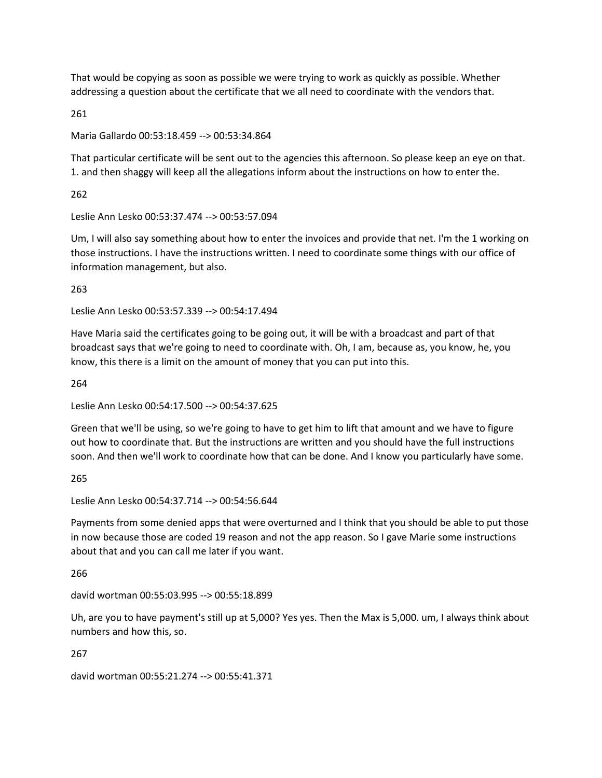That would be copying as soon as possible we were trying to work as quickly as possible. Whether addressing a question about the certificate that we all need to coordinate with the vendors that.

261

Maria Gallardo 00:53:18.459 --> 00:53:34.864

That particular certificate will be sent out to the agencies this afternoon. So please keep an eye on that. 1. and then shaggy will keep all the allegations inform about the instructions on how to enter the.

262

Leslie Ann Lesko 00:53:37.474 --> 00:53:57.094

Um, I will also say something about how to enter the invoices and provide that net. I'm the 1 working on those instructions. I have the instructions written. I need to coordinate some things with our office of information management, but also.

263

Leslie Ann Lesko 00:53:57.339 --> 00:54:17.494

Have Maria said the certificates going to be going out, it will be with a broadcast and part of that broadcast says that we're going to need to coordinate with. Oh, I am, because as, you know, he, you know, this there is a limit on the amount of money that you can put into this.

264

Leslie Ann Lesko 00:54:17.500 --> 00:54:37.625

Green that we'll be using, so we're going to have to get him to lift that amount and we have to figure out how to coordinate that. But the instructions are written and you should have the full instructions soon. And then we'll work to coordinate how that can be done. And I know you particularly have some.

265

Leslie Ann Lesko 00:54:37.714 --> 00:54:56.644

Payments from some denied apps that were overturned and I think that you should be able to put those in now because those are coded 19 reason and not the app reason. So I gave Marie some instructions about that and you can call me later if you want.

266

david wortman 00:55:03.995 --> 00:55:18.899

Uh, are you to have payment's still up at 5,000? Yes yes. Then the Max is 5,000. um, I always think about numbers and how this, so.

267

david wortman 00:55:21.274 --> 00:55:41.371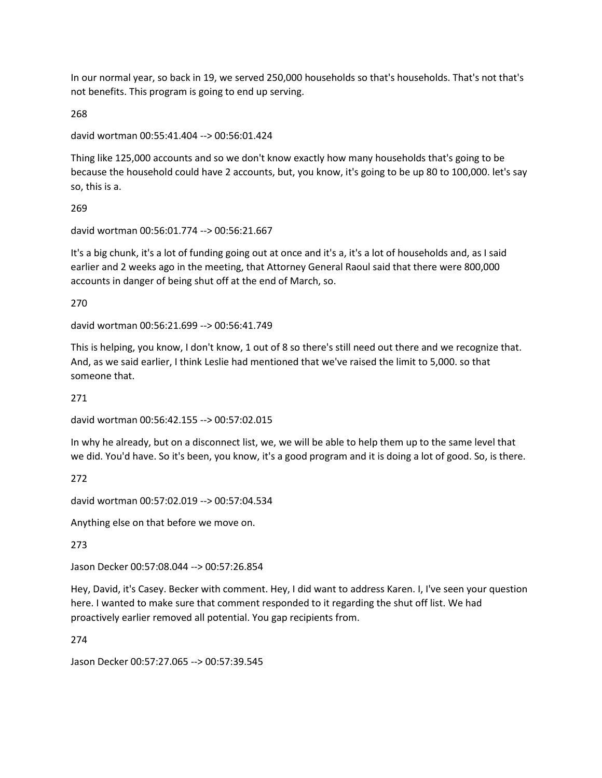In our normal year, so back in 19, we served 250,000 households so that's households. That's not that's not benefits. This program is going to end up serving.

268

```
david wortman 00:55:41.404 --> 00:56:01.424
```
Thing like 125,000 accounts and so we don't know exactly how many households that's going to be because the household could have 2 accounts, but, you know, it's going to be up 80 to 100,000. let's say so, this is a.

269

david wortman 00:56:01.774 --> 00:56:21.667

It's a big chunk, it's a lot of funding going out at once and it's a, it's a lot of households and, as I said earlier and 2 weeks ago in the meeting, that Attorney General Raoul said that there were 800,000 accounts in danger of being shut off at the end of March, so.

270

david wortman 00:56:21.699 --> 00:56:41.749

This is helping, you know, I don't know, 1 out of 8 so there's still need out there and we recognize that. And, as we said earlier, I think Leslie had mentioned that we've raised the limit to 5,000. so that someone that.

271

david wortman 00:56:42.155 --> 00:57:02.015

In why he already, but on a disconnect list, we, we will be able to help them up to the same level that we did. You'd have. So it's been, you know, it's a good program and it is doing a lot of good. So, is there.

272

david wortman 00:57:02.019 --> 00:57:04.534

Anything else on that before we move on.

273

Jason Decker 00:57:08.044 --> 00:57:26.854

Hey, David, it's Casey. Becker with comment. Hey, I did want to address Karen. I, I've seen your question here. I wanted to make sure that comment responded to it regarding the shut off list. We had proactively earlier removed all potential. You gap recipients from.

274

Jason Decker 00:57:27.065 --> 00:57:39.545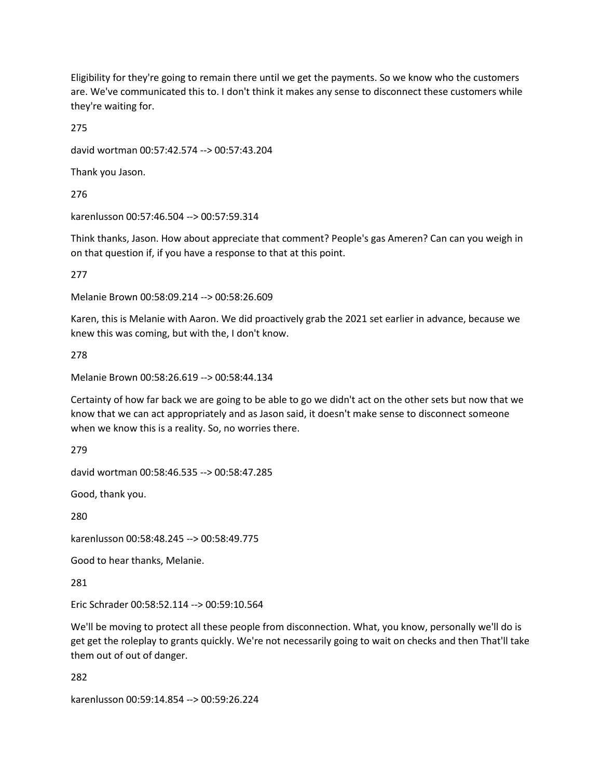Eligibility for they're going to remain there until we get the payments. So we know who the customers are. We've communicated this to. I don't think it makes any sense to disconnect these customers while they're waiting for.

275

david wortman 00:57:42.574 --> 00:57:43.204

Thank you Jason.

276

karenlusson 00:57:46.504 --> 00:57:59.314

Think thanks, Jason. How about appreciate that comment? People's gas Ameren? Can can you weigh in on that question if, if you have a response to that at this point.

277

Melanie Brown 00:58:09.214 --> 00:58:26.609

Karen, this is Melanie with Aaron. We did proactively grab the 2021 set earlier in advance, because we knew this was coming, but with the, I don't know.

278

Melanie Brown 00:58:26.619 --> 00:58:44.134

Certainty of how far back we are going to be able to go we didn't act on the other sets but now that we know that we can act appropriately and as Jason said, it doesn't make sense to disconnect someone when we know this is a reality. So, no worries there.

279

david wortman 00:58:46.535 --> 00:58:47.285

Good, thank you.

280

karenlusson 00:58:48.245 --> 00:58:49.775

Good to hear thanks, Melanie.

281

Eric Schrader 00:58:52.114 --> 00:59:10.564

We'll be moving to protect all these people from disconnection. What, you know, personally we'll do is get get the roleplay to grants quickly. We're not necessarily going to wait on checks and then That'll take them out of out of danger.

282

karenlusson 00:59:14.854 --> 00:59:26.224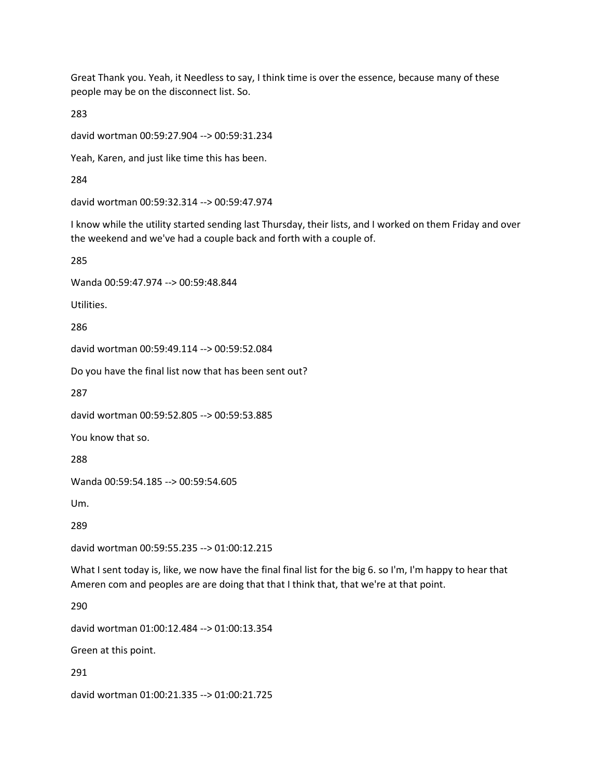Great Thank you. Yeah, it Needless to say, I think time is over the essence, because many of these people may be on the disconnect list. So.

283

david wortman 00:59:27.904 --> 00:59:31.234

Yeah, Karen, and just like time this has been.

284

david wortman 00:59:32.314 --> 00:59:47.974

I know while the utility started sending last Thursday, their lists, and I worked on them Friday and over the weekend and we've had a couple back and forth with a couple of.

285

Wanda 00:59:47.974 --> 00:59:48.844

Utilities.

286

david wortman 00:59:49.114 --> 00:59:52.084

Do you have the final list now that has been sent out?

287

david wortman 00:59:52.805 --> 00:59:53.885

You know that so.

288

Wanda 00:59:54.185 --> 00:59:54.605

Um.

289

david wortman 00:59:55.235 --> 01:00:12.215

What I sent today is, like, we now have the final final list for the big 6. so I'm, I'm happy to hear that Ameren com and peoples are are doing that that I think that, that we're at that point.

290

david wortman 01:00:12.484 --> 01:00:13.354

Green at this point.

291

david wortman 01:00:21.335 --> 01:00:21.725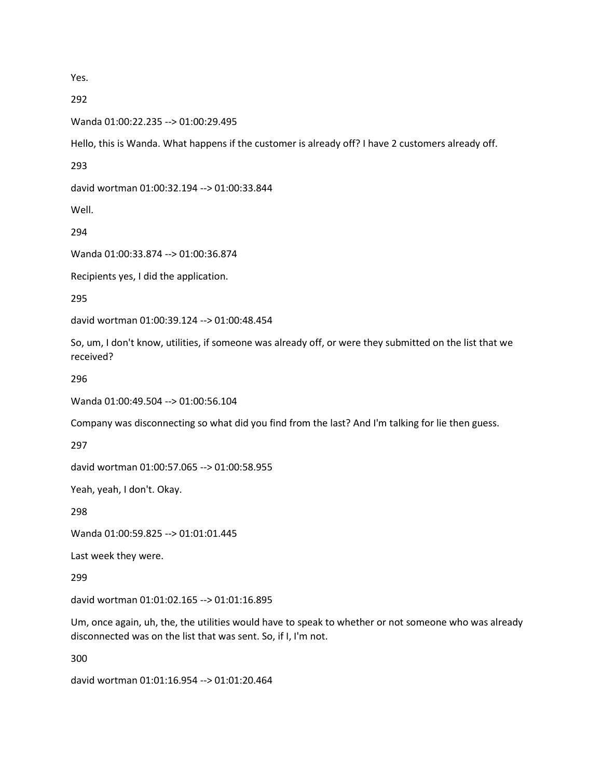Yes.

292

Wanda 01:00:22.235 --> 01:00:29.495

Hello, this is Wanda. What happens if the customer is already off? I have 2 customers already off.

293

david wortman 01:00:32.194 --> 01:00:33.844

Well.

294

Wanda 01:00:33.874 --> 01:00:36.874

Recipients yes, I did the application.

295

david wortman 01:00:39.124 --> 01:00:48.454

So, um, I don't know, utilities, if someone was already off, or were they submitted on the list that we received?

296

Wanda 01:00:49.504 --> 01:00:56.104

Company was disconnecting so what did you find from the last? And I'm talking for lie then guess.

297

david wortman 01:00:57.065 --> 01:00:58.955

Yeah, yeah, I don't. Okay.

298

Wanda 01:00:59.825 --> 01:01:01.445

Last week they were.

299

david wortman 01:01:02.165 --> 01:01:16.895

Um, once again, uh, the, the utilities would have to speak to whether or not someone who was already disconnected was on the list that was sent. So, if I, I'm not.

300

david wortman 01:01:16.954 --> 01:01:20.464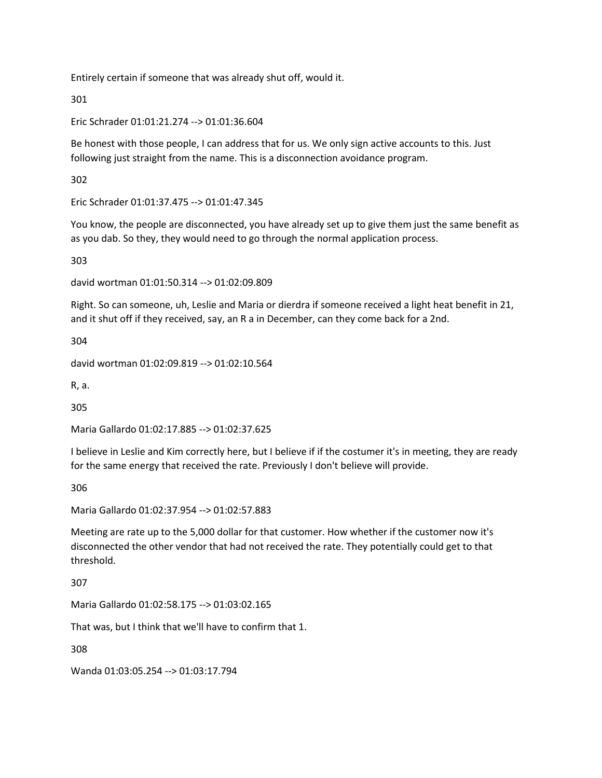Entirely certain if someone that was already shut off, would it.

301

Eric Schrader 01:01:21.274 --> 01:01:36.604

Be honest with those people, I can address that for us. We only sign active accounts to this. Just following just straight from the name. This is a disconnection avoidance program.

302

Eric Schrader 01:01:37.475 --> 01:01:47.345

You know, the people are disconnected, you have already set up to give them just the same benefit as as you dab. So they, they would need to go through the normal application process.

303

david wortman 01:01:50.314 --> 01:02:09.809

Right. So can someone, uh, Leslie and Maria or dierdra if someone received a light heat benefit in 21, and it shut off if they received, say, an R a in December, can they come back for a 2nd.

304

david wortman 01:02:09.819 --> 01:02:10.564

R, a.

305

Maria Gallardo 01:02:17.885 --> 01:02:37.625

I believe in Leslie and Kim correctly here, but I believe if if the costumer it's in meeting, they are ready for the same energy that received the rate. Previously I don't believe will provide.

306

Maria Gallardo 01:02:37.954 --> 01:02:57.883

Meeting are rate up to the 5,000 dollar for that customer. How whether if the customer now it's disconnected the other vendor that had not received the rate. They potentially could get to that threshold.

307

Maria Gallardo 01:02:58.175 --> 01:03:02.165

That was, but I think that we'll have to confirm that 1.

308

Wanda 01:03:05.254 --> 01:03:17.794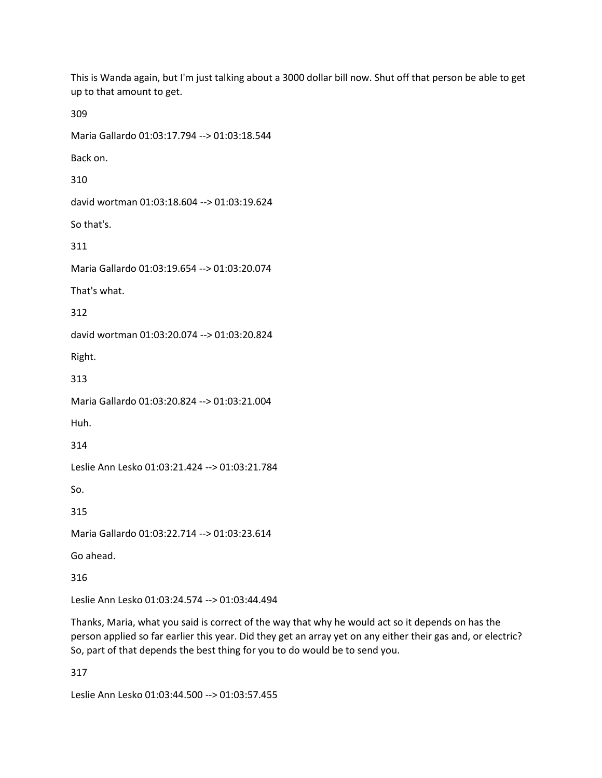This is Wanda again, but I'm just talking about a 3000 dollar bill now. Shut off that person be able to get up to that amount to get.

309

Maria Gallardo 01:03:17.794 --> 01:03:18.544 Back on. 310 david wortman 01:03:18.604 --> 01:03:19.624 So that's. 311 Maria Gallardo 01:03:19.654 --> 01:03:20.074 That's what. 312 david wortman 01:03:20.074 --> 01:03:20.824 Right. 313 Maria Gallardo 01:03:20.824 --> 01:03:21.004 Huh. 314 Leslie Ann Lesko 01:03:21.424 --> 01:03:21.784 So. 315 Maria Gallardo 01:03:22.714 --> 01:03:23.614 Go ahead. 316 Leslie Ann Lesko 01:03:24.574 --> 01:03:44.494

Thanks, Maria, what you said is correct of the way that why he would act so it depends on has the person applied so far earlier this year. Did they get an array yet on any either their gas and, or electric? So, part of that depends the best thing for you to do would be to send you.

317

Leslie Ann Lesko 01:03:44.500 --> 01:03:57.455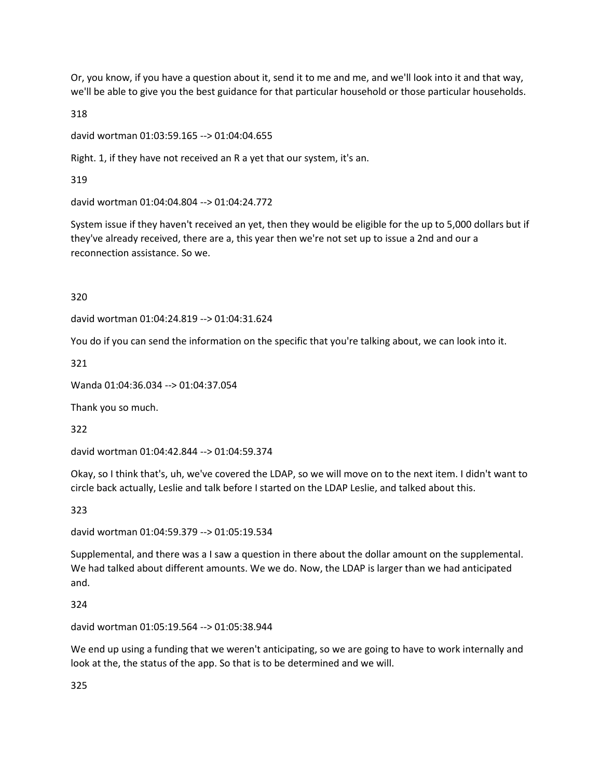Or, you know, if you have a question about it, send it to me and me, and we'll look into it and that way, we'll be able to give you the best guidance for that particular household or those particular households.

318

david wortman 01:03:59.165 --> 01:04:04.655

Right. 1, if they have not received an R a yet that our system, it's an.

319

david wortman 01:04:04.804 --> 01:04:24.772

System issue if they haven't received an yet, then they would be eligible for the up to 5,000 dollars but if they've already received, there are a, this year then we're not set up to issue a 2nd and our a reconnection assistance. So we.

320

david wortman 01:04:24.819 --> 01:04:31.624

You do if you can send the information on the specific that you're talking about, we can look into it.

321

Wanda 01:04:36.034 --> 01:04:37.054

Thank you so much.

322

david wortman 01:04:42.844 --> 01:04:59.374

Okay, so I think that's, uh, we've covered the LDAP, so we will move on to the next item. I didn't want to circle back actually, Leslie and talk before I started on the LDAP Leslie, and talked about this.

323

david wortman 01:04:59.379 --> 01:05:19.534

Supplemental, and there was a I saw a question in there about the dollar amount on the supplemental. We had talked about different amounts. We we do. Now, the LDAP is larger than we had anticipated and.

324

david wortman 01:05:19.564 --> 01:05:38.944

We end up using a funding that we weren't anticipating, so we are going to have to work internally and look at the, the status of the app. So that is to be determined and we will.

325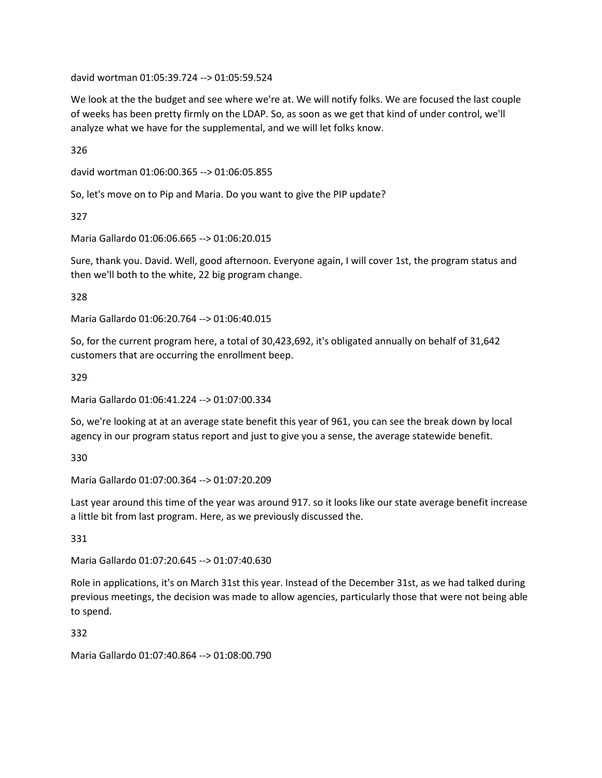david wortman 01:05:39.724 --> 01:05:59.524

We look at the the budget and see where we're at. We will notify folks. We are focused the last couple of weeks has been pretty firmly on the LDAP. So, as soon as we get that kind of under control, we'll analyze what we have for the supplemental, and we will let folks know.

326

david wortman 01:06:00.365 --> 01:06:05.855

So, let's move on to Pip and Maria. Do you want to give the PIP update?

327

Maria Gallardo 01:06:06.665 --> 01:06:20.015

Sure, thank you. David. Well, good afternoon. Everyone again, I will cover 1st, the program status and then we'll both to the white, 22 big program change.

328

Maria Gallardo 01:06:20.764 --> 01:06:40.015

So, for the current program here, a total of 30,423,692, it's obligated annually on behalf of 31,642 customers that are occurring the enrollment beep.

329

Maria Gallardo 01:06:41.224 --> 01:07:00.334

So, we're looking at at an average state benefit this year of 961, you can see the break down by local agency in our program status report and just to give you a sense, the average statewide benefit.

330

Maria Gallardo 01:07:00.364 --> 01:07:20.209

Last year around this time of the year was around 917. so it looks like our state average benefit increase a little bit from last program. Here, as we previously discussed the.

331

Maria Gallardo 01:07:20.645 --> 01:07:40.630

Role in applications, it's on March 31st this year. Instead of the December 31st, as we had talked during previous meetings, the decision was made to allow agencies, particularly those that were not being able to spend.

332

Maria Gallardo 01:07:40.864 --> 01:08:00.790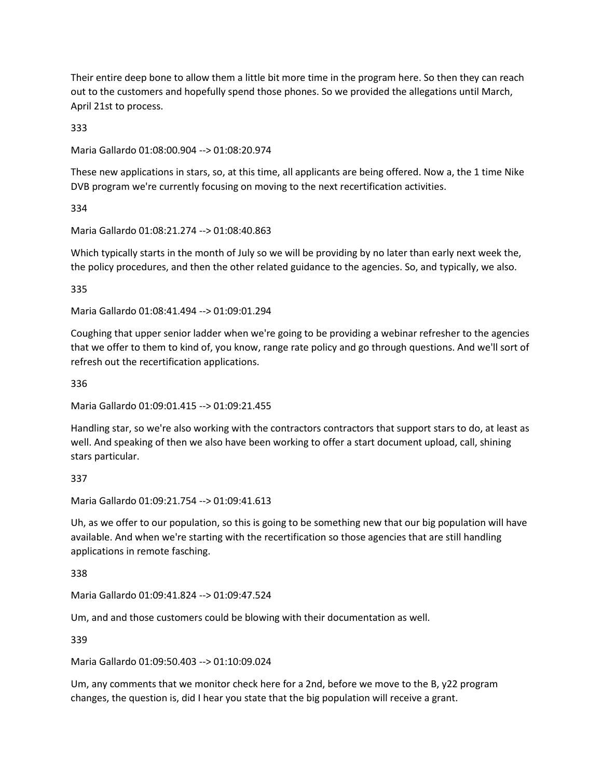Their entire deep bone to allow them a little bit more time in the program here. So then they can reach out to the customers and hopefully spend those phones. So we provided the allegations until March, April 21st to process.

333

Maria Gallardo 01:08:00.904 --> 01:08:20.974

These new applications in stars, so, at this time, all applicants are being offered. Now a, the 1 time Nike DVB program we're currently focusing on moving to the next recertification activities.

334

Maria Gallardo 01:08:21.274 --> 01:08:40.863

Which typically starts in the month of July so we will be providing by no later than early next week the, the policy procedures, and then the other related guidance to the agencies. So, and typically, we also.

335

Maria Gallardo 01:08:41.494 --> 01:09:01.294

Coughing that upper senior ladder when we're going to be providing a webinar refresher to the agencies that we offer to them to kind of, you know, range rate policy and go through questions. And we'll sort of refresh out the recertification applications.

336

Maria Gallardo 01:09:01.415 --> 01:09:21.455

Handling star, so we're also working with the contractors contractors that support stars to do, at least as well. And speaking of then we also have been working to offer a start document upload, call, shining stars particular.

337

Maria Gallardo 01:09:21.754 --> 01:09:41.613

Uh, as we offer to our population, so this is going to be something new that our big population will have available. And when we're starting with the recertification so those agencies that are still handling applications in remote fasching.

338

Maria Gallardo 01:09:41.824 --> 01:09:47.524

Um, and and those customers could be blowing with their documentation as well.

339

Maria Gallardo 01:09:50.403 --> 01:10:09.024

Um, any comments that we monitor check here for a 2nd, before we move to the B, y22 program changes, the question is, did I hear you state that the big population will receive a grant.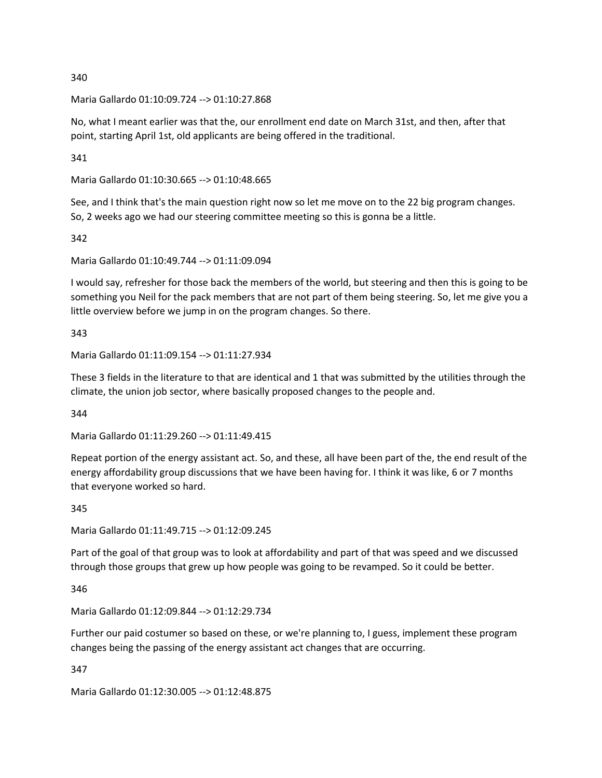Maria Gallardo 01:10:09.724 --> 01:10:27.868

No, what I meant earlier was that the, our enrollment end date on March 31st, and then, after that point, starting April 1st, old applicants are being offered in the traditional.

341

Maria Gallardo 01:10:30.665 --> 01:10:48.665

See, and I think that's the main question right now so let me move on to the 22 big program changes. So, 2 weeks ago we had our steering committee meeting so this is gonna be a little.

342

Maria Gallardo 01:10:49.744 --> 01:11:09.094

I would say, refresher for those back the members of the world, but steering and then this is going to be something you Neil for the pack members that are not part of them being steering. So, let me give you a little overview before we jump in on the program changes. So there.

343

Maria Gallardo 01:11:09.154 --> 01:11:27.934

These 3 fields in the literature to that are identical and 1 that was submitted by the utilities through the climate, the union job sector, where basically proposed changes to the people and.

344

Maria Gallardo 01:11:29.260 --> 01:11:49.415

Repeat portion of the energy assistant act. So, and these, all have been part of the, the end result of the energy affordability group discussions that we have been having for. I think it was like, 6 or 7 months that everyone worked so hard.

345

Maria Gallardo 01:11:49.715 --> 01:12:09.245

Part of the goal of that group was to look at affordability and part of that was speed and we discussed through those groups that grew up how people was going to be revamped. So it could be better.

346

Maria Gallardo 01:12:09.844 --> 01:12:29.734

Further our paid costumer so based on these, or we're planning to, I guess, implement these program changes being the passing of the energy assistant act changes that are occurring.

347

Maria Gallardo 01:12:30.005 --> 01:12:48.875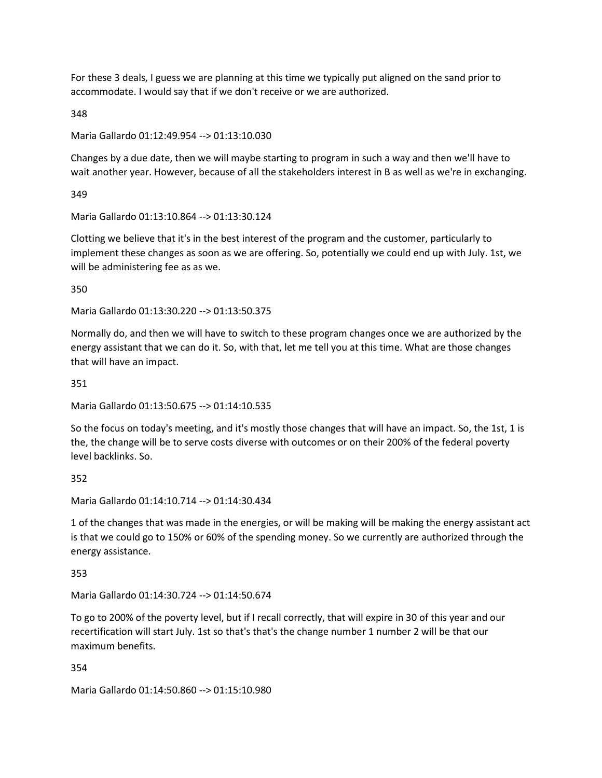For these 3 deals, I guess we are planning at this time we typically put aligned on the sand prior to accommodate. I would say that if we don't receive or we are authorized.

348

Maria Gallardo 01:12:49.954 --> 01:13:10.030

Changes by a due date, then we will maybe starting to program in such a way and then we'll have to wait another year. However, because of all the stakeholders interest in B as well as we're in exchanging.

349

Maria Gallardo 01:13:10.864 --> 01:13:30.124

Clotting we believe that it's in the best interest of the program and the customer, particularly to implement these changes as soon as we are offering. So, potentially we could end up with July. 1st, we will be administering fee as as we.

350

Maria Gallardo 01:13:30.220 --> 01:13:50.375

Normally do, and then we will have to switch to these program changes once we are authorized by the energy assistant that we can do it. So, with that, let me tell you at this time. What are those changes that will have an impact.

351

Maria Gallardo 01:13:50.675 --> 01:14:10.535

So the focus on today's meeting, and it's mostly those changes that will have an impact. So, the 1st, 1 is the, the change will be to serve costs diverse with outcomes or on their 200% of the federal poverty level backlinks. So.

352

Maria Gallardo 01:14:10.714 --> 01:14:30.434

1 of the changes that was made in the energies, or will be making will be making the energy assistant act is that we could go to 150% or 60% of the spending money. So we currently are authorized through the energy assistance.

353

Maria Gallardo 01:14:30.724 --> 01:14:50.674

To go to 200% of the poverty level, but if I recall correctly, that will expire in 30 of this year and our recertification will start July. 1st so that's that's the change number 1 number 2 will be that our maximum benefits.

354

Maria Gallardo 01:14:50.860 --> 01:15:10.980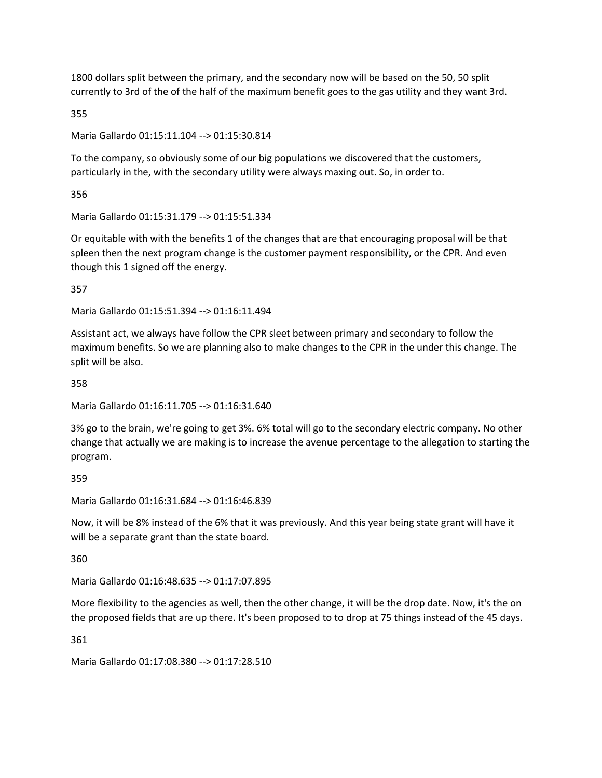1800 dollars split between the primary, and the secondary now will be based on the 50, 50 split currently to 3rd of the of the half of the maximum benefit goes to the gas utility and they want 3rd.

355

Maria Gallardo 01:15:11.104 --> 01:15:30.814

To the company, so obviously some of our big populations we discovered that the customers, particularly in the, with the secondary utility were always maxing out. So, in order to.

356

Maria Gallardo 01:15:31.179 --> 01:15:51.334

Or equitable with with the benefits 1 of the changes that are that encouraging proposal will be that spleen then the next program change is the customer payment responsibility, or the CPR. And even though this 1 signed off the energy.

357

Maria Gallardo 01:15:51.394 --> 01:16:11.494

Assistant act, we always have follow the CPR sleet between primary and secondary to follow the maximum benefits. So we are planning also to make changes to the CPR in the under this change. The split will be also.

358

Maria Gallardo 01:16:11.705 --> 01:16:31.640

3% go to the brain, we're going to get 3%. 6% total will go to the secondary electric company. No other change that actually we are making is to increase the avenue percentage to the allegation to starting the program.

359

Maria Gallardo 01:16:31.684 --> 01:16:46.839

Now, it will be 8% instead of the 6% that it was previously. And this year being state grant will have it will be a separate grant than the state board.

360

Maria Gallardo 01:16:48.635 --> 01:17:07.895

More flexibility to the agencies as well, then the other change, it will be the drop date. Now, it's the on the proposed fields that are up there. It's been proposed to to drop at 75 things instead of the 45 days.

361

Maria Gallardo 01:17:08.380 --> 01:17:28.510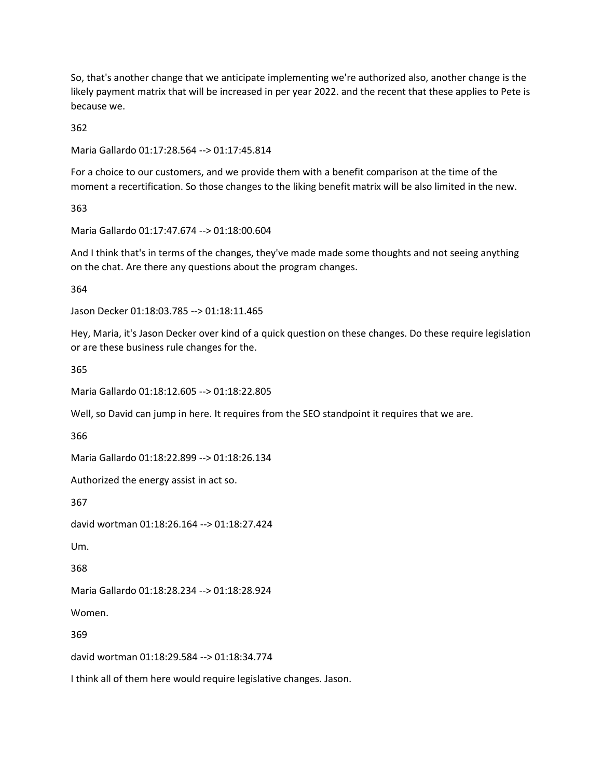So, that's another change that we anticipate implementing we're authorized also, another change is the likely payment matrix that will be increased in per year 2022. and the recent that these applies to Pete is because we.

362

Maria Gallardo 01:17:28.564 --> 01:17:45.814

For a choice to our customers, and we provide them with a benefit comparison at the time of the moment a recertification. So those changes to the liking benefit matrix will be also limited in the new.

363

Maria Gallardo 01:17:47.674 --> 01:18:00.604

And I think that's in terms of the changes, they've made made some thoughts and not seeing anything on the chat. Are there any questions about the program changes.

364

Jason Decker 01:18:03.785 --> 01:18:11.465

Hey, Maria, it's Jason Decker over kind of a quick question on these changes. Do these require legislation or are these business rule changes for the.

365

Maria Gallardo 01:18:12.605 --> 01:18:22.805

Well, so David can jump in here. It requires from the SEO standpoint it requires that we are.

366

Maria Gallardo 01:18:22.899 --> 01:18:26.134

Authorized the energy assist in act so.

367

david wortman 01:18:26.164 --> 01:18:27.424

Um.

368

Maria Gallardo 01:18:28.234 --> 01:18:28.924

Women.

369

david wortman 01:18:29.584 --> 01:18:34.774

I think all of them here would require legislative changes. Jason.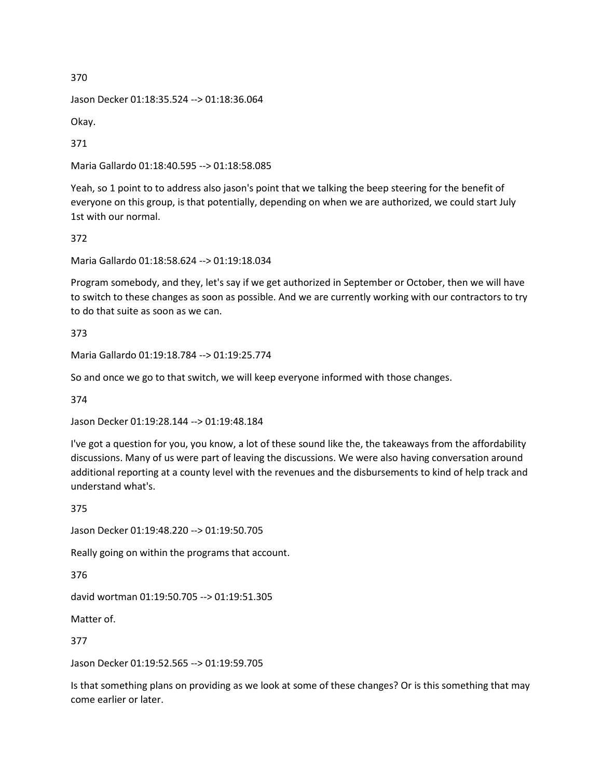Jason Decker 01:18:35.524 --> 01:18:36.064

Okay.

371

Maria Gallardo 01:18:40.595 --> 01:18:58.085

Yeah, so 1 point to to address also jason's point that we talking the beep steering for the benefit of everyone on this group, is that potentially, depending on when we are authorized, we could start July 1st with our normal.

372

Maria Gallardo 01:18:58.624 --> 01:19:18.034

Program somebody, and they, let's say if we get authorized in September or October, then we will have to switch to these changes as soon as possible. And we are currently working with our contractors to try to do that suite as soon as we can.

373

Maria Gallardo 01:19:18.784 --> 01:19:25.774

So and once we go to that switch, we will keep everyone informed with those changes.

374

Jason Decker 01:19:28.144 --> 01:19:48.184

I've got a question for you, you know, a lot of these sound like the, the takeaways from the affordability discussions. Many of us were part of leaving the discussions. We were also having conversation around additional reporting at a county level with the revenues and the disbursements to kind of help track and understand what's.

375

Jason Decker 01:19:48.220 --> 01:19:50.705

Really going on within the programs that account.

376

david wortman 01:19:50.705 --> 01:19:51.305

Matter of.

377

Jason Decker 01:19:52.565 --> 01:19:59.705

Is that something plans on providing as we look at some of these changes? Or is this something that may come earlier or later.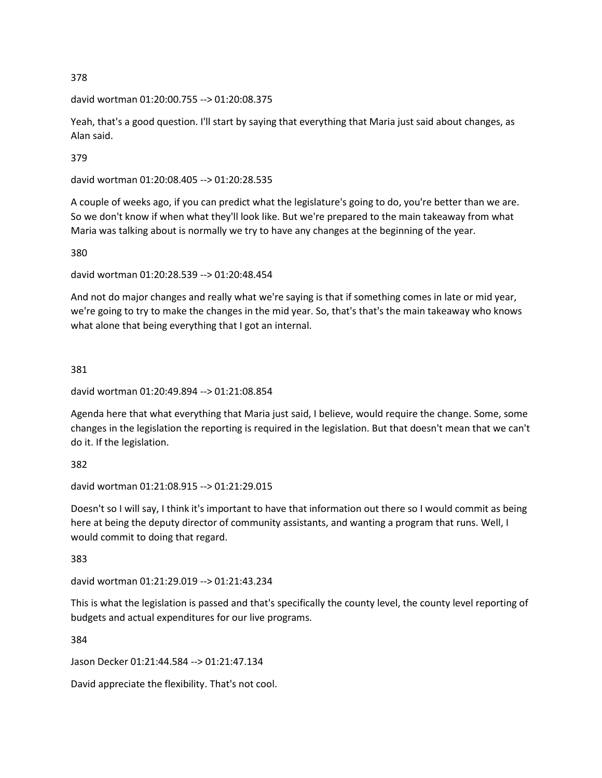david wortman 01:20:00.755 --> 01:20:08.375

Yeah, that's a good question. I'll start by saying that everything that Maria just said about changes, as Alan said.

379

david wortman 01:20:08.405 --> 01:20:28.535

A couple of weeks ago, if you can predict what the legislature's going to do, you're better than we are. So we don't know if when what they'll look like. But we're prepared to the main takeaway from what Maria was talking about is normally we try to have any changes at the beginning of the year.

380

david wortman 01:20:28.539 --> 01:20:48.454

And not do major changes and really what we're saying is that if something comes in late or mid year, we're going to try to make the changes in the mid year. So, that's that's the main takeaway who knows what alone that being everything that I got an internal.

381

```
david wortman 01:20:49.894 --> 01:21:08.854
```
Agenda here that what everything that Maria just said, I believe, would require the change. Some, some changes in the legislation the reporting is required in the legislation. But that doesn't mean that we can't do it. If the legislation.

382

david wortman 01:21:08.915 --> 01:21:29.015

Doesn't so I will say, I think it's important to have that information out there so I would commit as being here at being the deputy director of community assistants, and wanting a program that runs. Well, I would commit to doing that regard.

383

david wortman 01:21:29.019 --> 01:21:43.234

This is what the legislation is passed and that's specifically the county level, the county level reporting of budgets and actual expenditures for our live programs.

384

Jason Decker 01:21:44.584 --> 01:21:47.134

David appreciate the flexibility. That's not cool.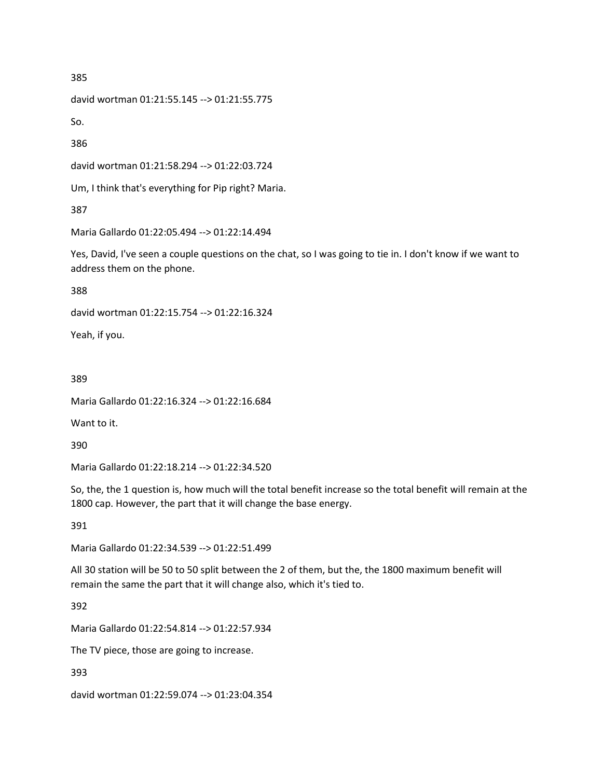david wortman 01:21:55.145 --> 01:21:55.775

So.

386

david wortman 01:21:58.294 --> 01:22:03.724

Um, I think that's everything for Pip right? Maria.

387

Maria Gallardo 01:22:05.494 --> 01:22:14.494

Yes, David, I've seen a couple questions on the chat, so I was going to tie in. I don't know if we want to address them on the phone.

388

david wortman 01:22:15.754 --> 01:22:16.324

Yeah, if you.

389

Maria Gallardo 01:22:16.324 --> 01:22:16.684

Want to it.

390

Maria Gallardo 01:22:18.214 --> 01:22:34.520

So, the, the 1 question is, how much will the total benefit increase so the total benefit will remain at the 1800 cap. However, the part that it will change the base energy.

391

Maria Gallardo 01:22:34.539 --> 01:22:51.499

All 30 station will be 50 to 50 split between the 2 of them, but the, the 1800 maximum benefit will remain the same the part that it will change also, which it's tied to.

392

Maria Gallardo 01:22:54.814 --> 01:22:57.934

The TV piece, those are going to increase.

393

david wortman 01:22:59.074 --> 01:23:04.354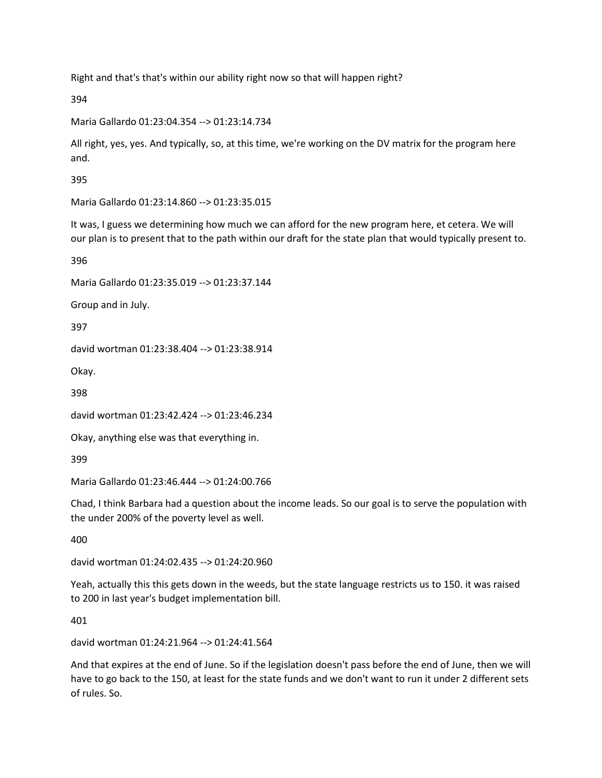Right and that's that's within our ability right now so that will happen right?

394

Maria Gallardo 01:23:04.354 --> 01:23:14.734

All right, yes, yes. And typically, so, at this time, we're working on the DV matrix for the program here and.

395

Maria Gallardo 01:23:14.860 --> 01:23:35.015

It was, I guess we determining how much we can afford for the new program here, et cetera. We will our plan is to present that to the path within our draft for the state plan that would typically present to.

396

Maria Gallardo 01:23:35.019 --> 01:23:37.144

Group and in July.

397

david wortman 01:23:38.404 --> 01:23:38.914

Okay.

398

david wortman 01:23:42.424 --> 01:23:46.234

Okay, anything else was that everything in.

399

Maria Gallardo 01:23:46.444 --> 01:24:00.766

Chad, I think Barbara had a question about the income leads. So our goal is to serve the population with the under 200% of the poverty level as well.

400

david wortman 01:24:02.435 --> 01:24:20.960

Yeah, actually this this gets down in the weeds, but the state language restricts us to 150. it was raised to 200 in last year's budget implementation bill.

401

david wortman 01:24:21.964 --> 01:24:41.564

And that expires at the end of June. So if the legislation doesn't pass before the end of June, then we will have to go back to the 150, at least for the state funds and we don't want to run it under 2 different sets of rules. So.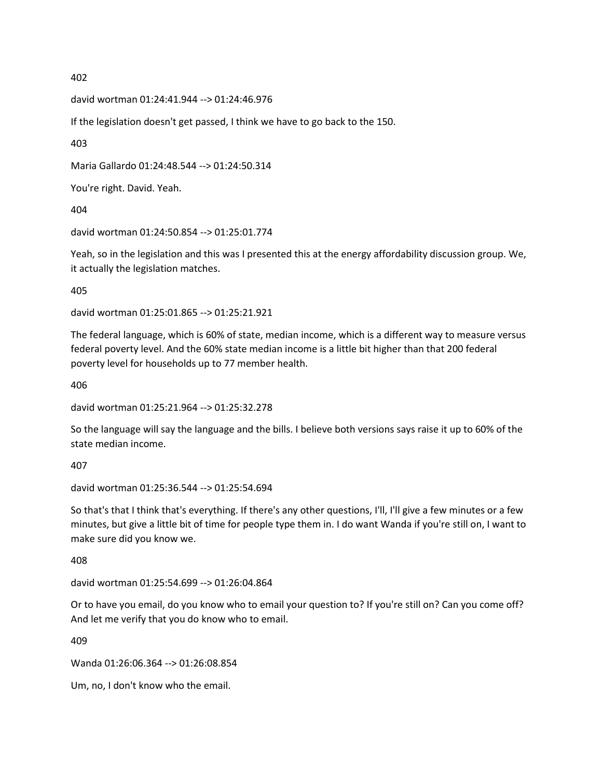david wortman 01:24:41.944 --> 01:24:46.976

If the legislation doesn't get passed, I think we have to go back to the 150.

403

Maria Gallardo 01:24:48.544 --> 01:24:50.314

You're right. David. Yeah.

404

david wortman 01:24:50.854 --> 01:25:01.774

Yeah, so in the legislation and this was I presented this at the energy affordability discussion group. We, it actually the legislation matches.

405

david wortman 01:25:01.865 --> 01:25:21.921

The federal language, which is 60% of state, median income, which is a different way to measure versus federal poverty level. And the 60% state median income is a little bit higher than that 200 federal poverty level for households up to 77 member health.

406

david wortman 01:25:21.964 --> 01:25:32.278

So the language will say the language and the bills. I believe both versions says raise it up to 60% of the state median income.

407

david wortman 01:25:36.544 --> 01:25:54.694

So that's that I think that's everything. If there's any other questions, I'll, I'll give a few minutes or a few minutes, but give a little bit of time for people type them in. I do want Wanda if you're still on, I want to make sure did you know we.

408

david wortman 01:25:54.699 --> 01:26:04.864

Or to have you email, do you know who to email your question to? If you're still on? Can you come off? And let me verify that you do know who to email.

409

Wanda 01:26:06.364 --> 01:26:08.854

Um, no, I don't know who the email.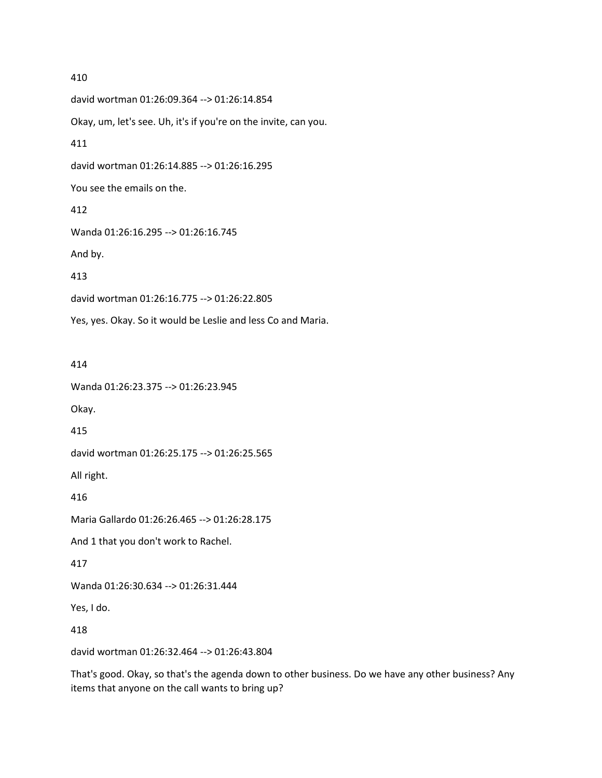david wortman 01:26:09.364 --> 01:26:14.854 Okay, um, let's see. Uh, it's if you're on the invite, can you. 411 david wortman 01:26:14.885 --> 01:26:16.295 You see the emails on the. 412 Wanda 01:26:16.295 --> 01:26:16.745 And by. 413 david wortman 01:26:16.775 --> 01:26:22.805 Yes, yes. Okay. So it would be Leslie and less Co and Maria.

414

Wanda 01:26:23.375 --> 01:26:23.945

Okay.

415

david wortman 01:26:25.175 --> 01:26:25.565

All right.

416

Maria Gallardo 01:26:26.465 --> 01:26:28.175

And 1 that you don't work to Rachel.

417

Wanda 01:26:30.634 --> 01:26:31.444

Yes, I do.

418

david wortman 01:26:32.464 --> 01:26:43.804

That's good. Okay, so that's the agenda down to other business. Do we have any other business? Any items that anyone on the call wants to bring up?